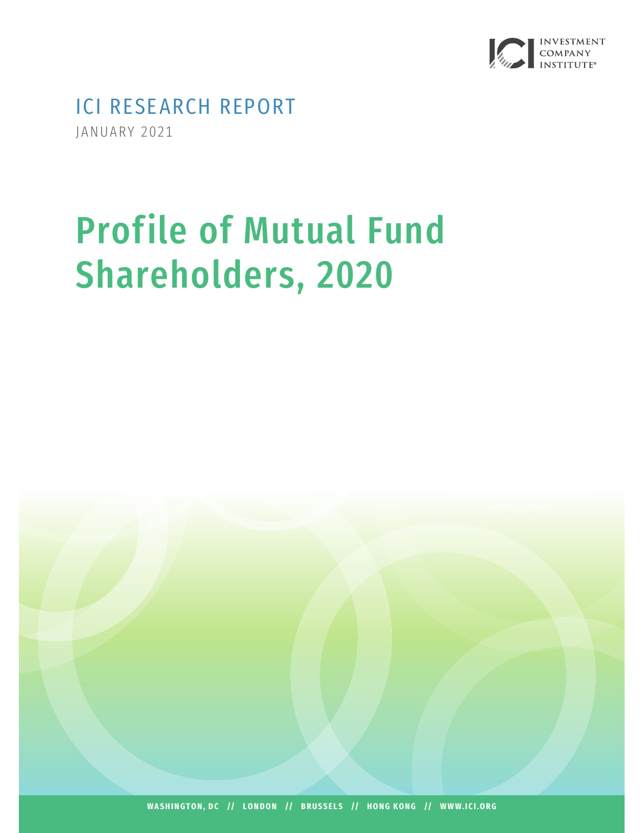

ICI RESEARCH REPORT JANUARY 2021

# Profile of Mutual Fund Shareholders, 2020

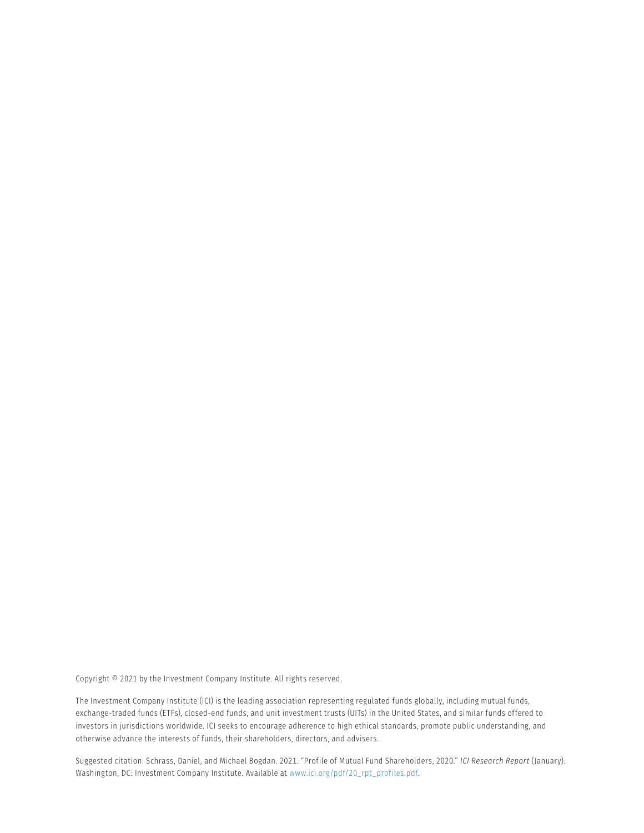Copyright © 2021 by the Investment Company Institute. All rights reserved.

The Investment Company Institute (ICI) is the leading association representing regulated funds globally, including mutual funds, exchange-traded funds (ETFs), closed-end funds, and unit investment trusts (UITs) in the United States, and similar funds offered to investors in jurisdictions worldwide. ICI seeks to encourage adherence to high ethical standards, promote public understanding, and otherwise advance the interests of funds, their shareholders, directors, and advisers.

Suggested citation: Schrass, Daniel, and Michael Bogdan. 2021. "Profile of Mutual Fund Shareholders, 2020." *ICI Research Report* (January). Washington, DC: Investment Company Institute. Available at [www.ici.org/pdf/20\\_rpt\\_profiles.pdf.](http://www.ici.org/pdf/20_rpt_profiles.pdf)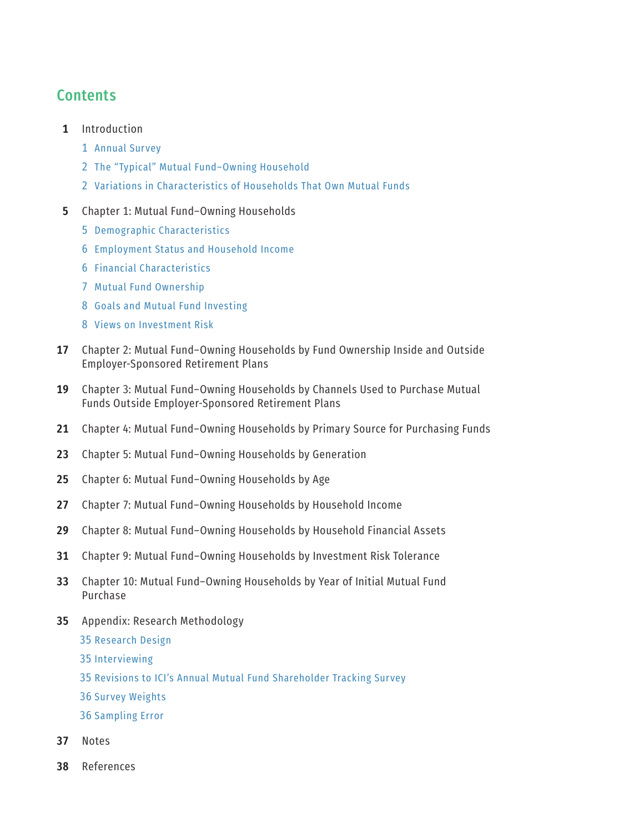## **Contents**

- 1 Introduction
	- Annual Survey
	- The "Typical" Mutual Fund–Owning Household
	- Variations in Characteristics of Households That Own Mutual Funds
- Chapter 1: Mutual Fund–Owning Households
	- Demographic Characteristics
	- Employment Status and Household Income
	- Financial Characteristics
	- Mutual Fund Ownership
	- Goals and Mutual Fund Investing
	- Views on Investment Risk
- Chapter 2: Mutual Fund–Owning Households by Fund Ownership Inside and Outside Employer-Sponsored Retirement Plans
- Chapter 3: Mutual Fund–Owning Households by Channels Used to Purchase Mutual Funds Outside Employer-Sponsored Retirement Plans
- Chapter 4: Mutual Fund–Owning Households by Primary Source for Purchasing Funds
- Chapter 5: Mutual Fund–Owning Households by Generation
- Chapter 6: Mutual Fund–Owning Households by Age
- Chapter 7: Mutual Fund–Owning Households by Household Income
- Chapter 8: Mutual Fund–Owning Households by Household Financial Assets
- Chapter 9: Mutual Fund–Owning Households by Investment Risk Tolerance
- Chapter 10: Mutual Fund–Owning Households by Year of Initial Mutual Fund Purchase
- Appendix: Research Methodology
	- Research Design
	- Interviewing
	- Revisions to ICI's Annual Mutual Fund Shareholder Tracking Survey
	- Survey Weights
	- Sampling Error
- Notes
- References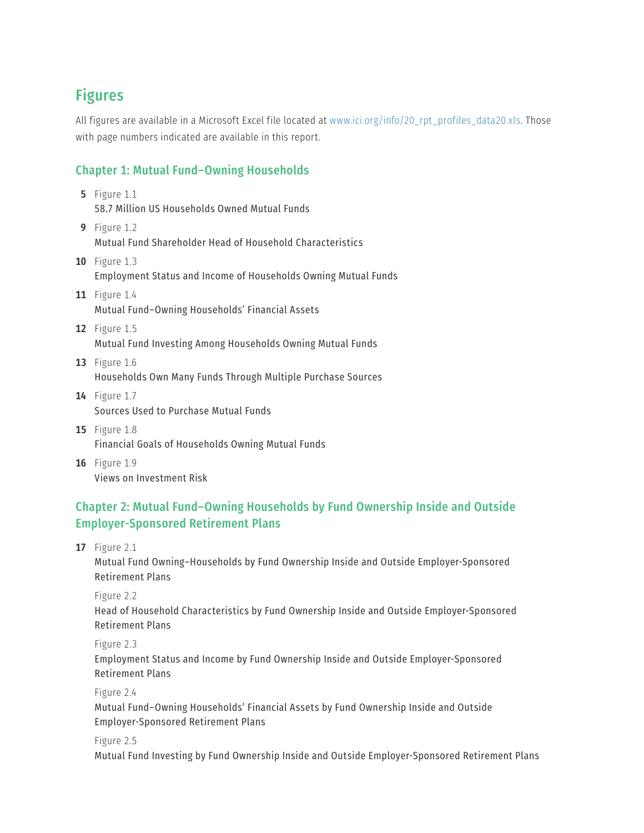## Figures

All figures are available in a Microsoft Excel file located at [www.ici.org/info/20\\_rpt\\_profiles\\_data20.xls](http://www.ici.org/info/20_rpt_profiles_data20.xls). Those with page numbers indicated are available in this report.

#### Chapter 1: Mutual Fund–Owning Households

- **5** [Figure 1.1](#page-12-0) [58.7 Million US Households Owned Mutual Funds](#page-12-0)
- **9** [Figure 1.2](#page-16-0) [Mutual Fund Shareholder Head of Household Characteristics](#page-16-0)
- **10** [Figure 1.3](#page-17-0) [Employment Status and Income of Households Owning Mutual Funds](#page-17-0)
- **11** [Figure 1.4](#page-18-0) [Mutual Fund–Owning Households' Financial Assets](#page-18-0)
- **12** [Figure 1.5](#page-19-0) [Mutual Fund Investing Among Households Owning Mutual Funds](#page-19-0)
- **13** [Figure 1.6](#page-20-0) [Households Own Many Funds Through Multiple Purchase Sources](#page-20-0)
- **14** [Figure 1.7](#page-21-0) [Sources Used to Purchase Mutual Fund](#page-21-0)s
- **15** [Figure 1.8](#page-22-0) [Financial Goals of Households Owning Mutual Funds](#page-22-0)
- **16** [Figure 1.9](#page-23-0) [Views on Investment Risk](#page-23-0)

#### Chapter 2: Mutual Fund–Owning Households by Fund Ownership Inside and Outside Employer-Sponsored Retirement Plans

**17** [Figure 2.1](#page-24-0)

[Mutual Fund Owning–Households by Fund Ownership Inside and Outside Employer-Sponsored](#page-24-0)  [Retirement Plans](#page-24-0)

Figure 2.2

Head of Household Characteristics by Fund Ownership Inside and Outside Employer-Sponsored Retirement Plans

Figure 2.3

Employment Status and Income by Fund Ownership Inside and Outside Employer-Sponsored Retirement Plans

Figure 2.4

Mutual Fund–Owning Households' Financial Assets by Fund Ownership Inside and Outside Employer-Sponsored Retirement Plans

Figure 2.5

Mutual Fund Investing by Fund Ownership Inside and Outside Employer-Sponsored Retirement Plans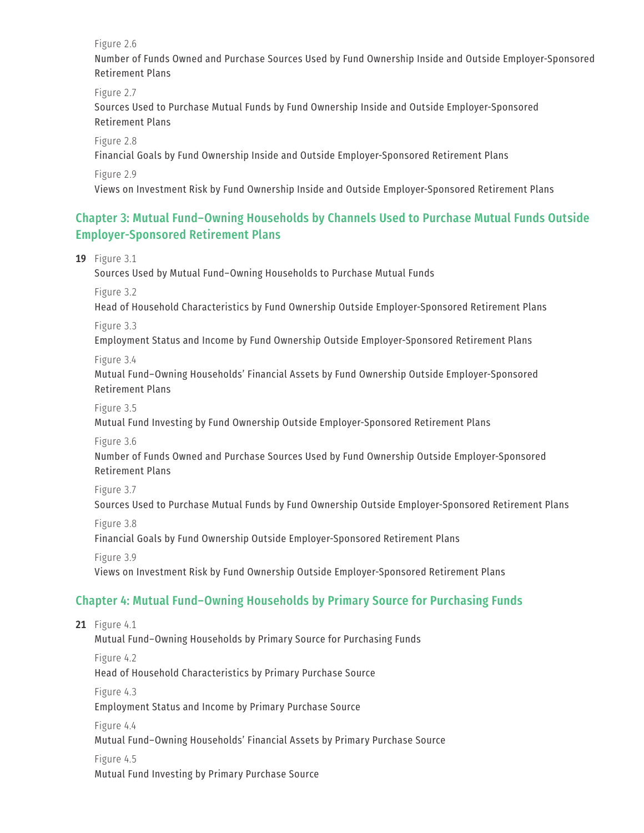Figure 2.6

Number of Funds Owned and Purchase Sources Used by Fund Ownership Inside and Outside Employer-Sponsored Retirement Plans

 Figure 2.7 Sources Used to Purchase Mutual Funds by Fund Ownership Inside and Outside Employer-Sponsored Retirement Plans

 Figure 2.8 Financial Goals by Fund Ownership Inside and Outside Employer-Sponsored Retirement Plans

Figure 2.9

Views on Investment Risk by Fund Ownership Inside and Outside Employer-Sponsored Retirement Plans

#### Chapter 3: Mutual Fund–Owning Households by Channels Used to Purchase Mutual Funds Outside Employer-Sponsored Retirement Plans

**19** [Figure 3.1](#page-26-0) [Sources Used by Mutual Fund–Owning Households to Purchase Mutual Funds](#page-26-0) Figure 3.2 Head of Household Characteristics by Fund Ownership Outside Employer-Sponsored Retirement Plans Figure 3.3 Employment Status and Income by Fund Ownership Outside Employer-Sponsored Retirement Plans Figure 3.4 Mutual Fund–Owning Households' Financial Assets by Fund Ownership Outside Employer-Sponsored Retirement Plans Figure 3.5 Mutual Fund Investing by Fund Ownership Outside Employer-Sponsored Retirement Plans Figure 3.6 Number of Funds Owned and Purchase Sources Used by Fund Ownership Outside Employer-Sponsored Retirement Plans Figure 3.7 Sources Used to Purchase Mutual Funds by Fund Ownership Outside Employer-Sponsored Retirement Plans Figure 3.8 Financial Goals by Fund Ownership Outside Employer-Sponsored Retirement Plans Figure 3.9 Views on Investment Risk by Fund Ownership Outside Employer-Sponsored Retirement Plans Chapter 4: Mutual Fund–Owning Households by Primary Source for Purchasing Funds **21** [Figure 4.1](#page-28-0) [Mutual Fund–Owning Households by Primary Source for Purchasing Funds](#page-28-0) Figure 4.2 Head of Household Characteristics by Primary Purchase Source Figure 4.3

Employment Status and Income by Primary Purchase Source

Figure 4.4

Mutual Fund–Owning Households' Financial Assets by Primary Purchase Source

Figure 4.5

Mutual Fund Investing by Primary Purchase Source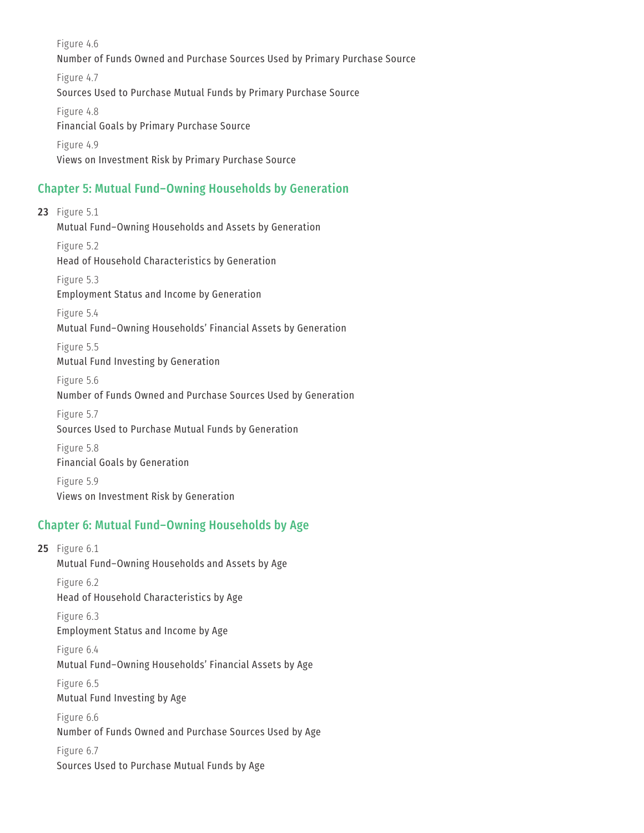Figure 4.6 Number of Funds Owned and Purchase Sources Used by Primary Purchase Source Figure 4.7 Sources Used to Purchase Mutual Funds by Primary Purchase Source Figure 4.8 Financial Goals by Primary Purchase Source Figure 4.9 Views on Investment Risk by Primary Purchase Source

#### Chapter 5: Mutual Fund–Owning Households by Generation

**23** [Figure 5.1](#page-30-0) [Mutual Fund–Owning Households and Assets by Generation](#page-30-0) Figure 5.2 Head of Household Characteristics by Generation Figure 5.3 Employment Status and Income by Generation Figure 5.4 Mutual Fund–Owning Households' Financial Assets by Generation Figure 5.5 Mutual Fund Investing by Generation Figure 5.6 Number of Funds Owned and Purchase Sources Used by Generation Figure 5.7 Sources Used to Purchase Mutual Funds by Generation Figure 5.8 Financial Goals by Generation Figure 5.9 Views on Investment Risk by Generation

#### Chapter 6: Mutual Fund–Owning Households by Age

**25** [Figure 6.1](#page-32-0) [Mutual Fund–Owning Households and Assets by Age](#page-32-0) Figure 6.2 Head of Household Characteristics by Age Figure 6.3 Employment Status and Income by Age Figure 6.4 Mutual Fund–Owning Households' Financial Assets by Age Figure 6.5 Mutual Fund Investing by Age Figure 6.6 Number of Funds Owned and Purchase Sources Used by Age Figure 6.7 Sources Used to Purchase Mutual Funds by Age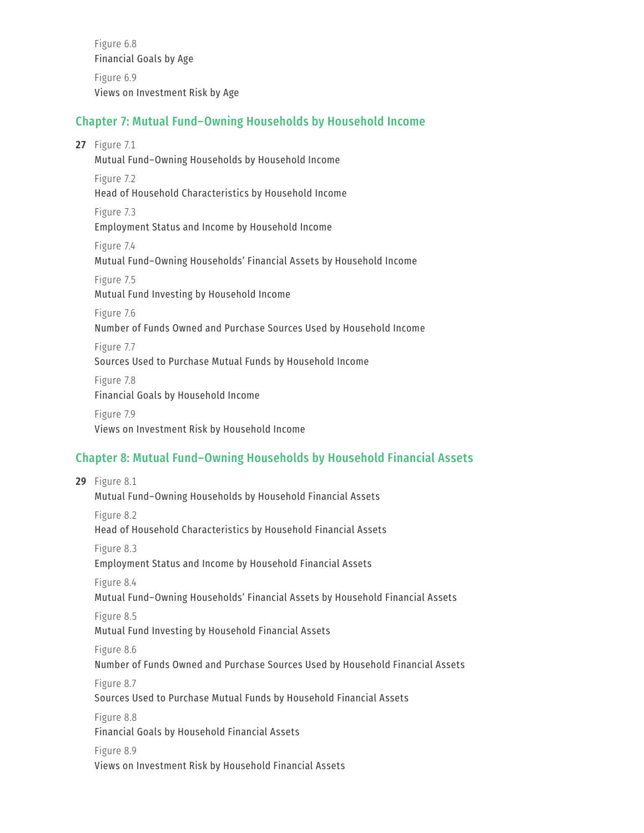Figure 6.8 Financial Goals by Age Figure 6.9 Views on Investment Risk by Age

#### Chapter 7: Mutual Fund–Owning Households by Household Income

**27** [Figure 7.1](#page-34-0) [Mutual Fund–Owning Households by Household Income](#page-34-0) Figure 7.2 Head of Household Characteristics by Household Income Figure 7.3 Employment Status and Income by Household Income Figure 7.4 Mutual Fund–Owning Households' Financial Assets by Household Income Figure 7.5 Mutual Fund Investing by Household Income Figure 7.6 Number of Funds Owned and Purchase Sources Used by Household Income Figure 7.7 Sources Used to Purchase Mutual Funds by Household Income Figure 7.8 Financial Goals by Household Income Figure 7.9

Views on Investment Risk by Household Income

#### Chapter 8: Mutual Fund–Owning Households by Household Financial Assets

**29** [Figure 8.1](#page-36-0) [Mutual Fund–Owning Households by Household Financial Assets](#page-36-0) Figure 8.2 Head of Household Characteristics by Household Financial Assets Figure 8.3 Employment Status and Income by Household Financial Assets Figure 8.4 Mutual Fund–Owning Households' Financial Assets by Household Financial Assets Figure 8.5 Mutual Fund Investing by Household Financial Assets Figure 8.6 Number of Funds Owned and Purchase Sources Used by Household Financial Assets Figure 8.7 Sources Used to Purchase Mutual Funds by Household Financial Assets Figure 8.8 Financial Goals by Household Financial Assets Figure 8.9 Views on Investment Risk by Household Financial Assets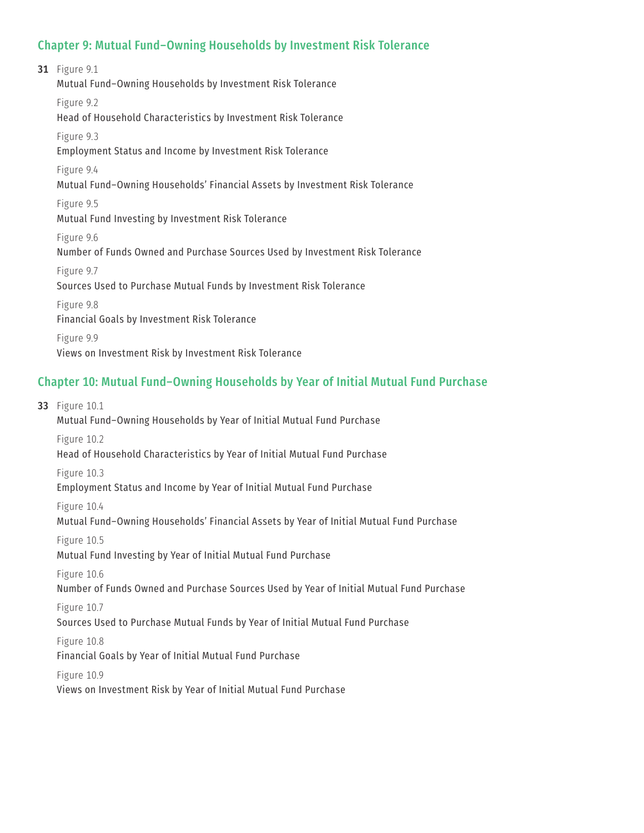#### Chapter 9: Mutual Fund–Owning Households by Investment Risk Tolerance

**31** [Figure 9.1](#page-38-0) [Mutual Fund–Owning Households by Investment Risk Tolerance](#page-38-0) Figure 9.2 Head of Household Characteristics by Investment Risk Tolerance Figure 9.3 Employment Status and Income by Investment Risk Tolerance Figure 9.4 Mutual Fund–Owning Households' Financial Assets by Investment Risk Tolerance Figure 9.5 Mutual Fund Investing by Investment Risk Tolerance Figure 9.6 Number of Funds Owned and Purchase Sources Used by Investment Risk Tolerance Figure 9.7 Sources Used to Purchase Mutual Funds by Investment Risk Tolerance Figure 9.8 Financial Goals by Investment Risk Tolerance Figure 9.9 Views on Investment Risk by Investment Risk Tolerance

#### Chapter 10: Mutual Fund–Owning Households by Year of Initial Mutual Fund Purchase

**33** [Figure 10.1](#page-40-0) [Mutual Fund–Owning Households by Year of Initial Mutual Fund Purchase](#page-40-0) Figure 10.2 Head of Household Characteristics by Year of Initial Mutual Fund Purchase Figure 10.3 Employment Status and Income by Year of Initial Mutual Fund Purchase Figure 10.4 Mutual Fund–Owning Households' Financial Assets by Year of Initial Mutual Fund Purchase Figure 10.5 Mutual Fund Investing by Year of Initial Mutual Fund Purchase Figure 10.6 Number of Funds Owned and Purchase Sources Used by Year of Initial Mutual Fund Purchase Figure 10.7 Sources Used to Purchase Mutual Funds by Year of Initial Mutual Fund Purchase Figure 10.8 Financial Goals by Year of Initial Mutual Fund Purchase Figure 10.9 Views on Investment Risk by Year of Initial Mutual Fund Purchase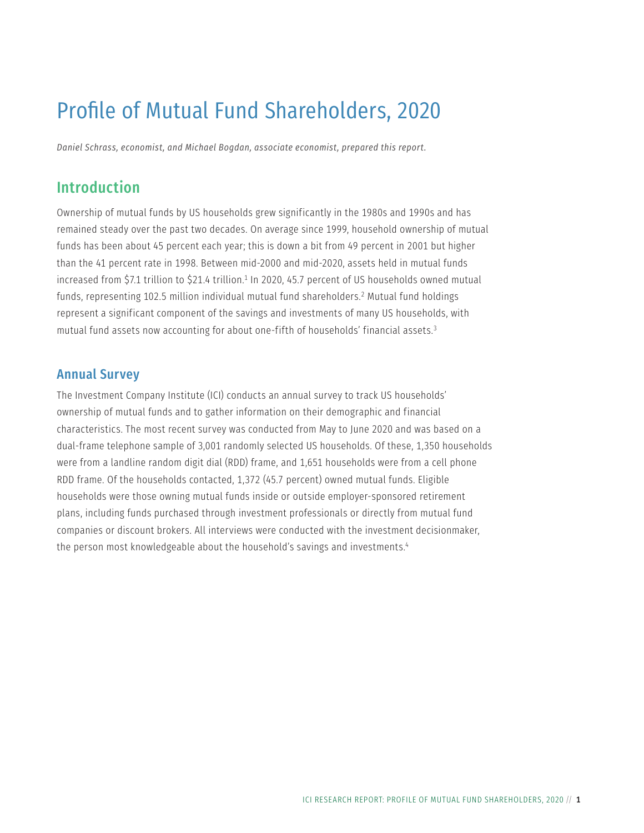## Profile of Mutual Fund Shareholders, 2020

*Daniel Schrass, economist, and Michael Bogdan, associate economist, prepared this report.*

## Introduction

Ownership of mutual funds by US households grew significantly in the 1980s and 1990s and has remained steady over the past two decades. On average since 1999, household ownership of mutual funds has been about 45 percent each year; this is down a bit from 49 percent in 2001 but higher than the 41 percent rate in 1998. Between mid-2000 and mid-2020, assets held in mutual funds increased from \$7.1 trillion to \$21.4 trillion.<sup>1</sup> In 2020, 45.7 percent of US households owned mutual funds, representing 102.5 million individual mutual fund shareholders.2 Mutual fund holdings represent a significant component of the savings and investments of many US households, with mutual fund assets now accounting for about one-fifth of households' financial assets.3

#### Annual Survey

The Investment Company Institute (ICI) conducts an annual survey to track US households' ownership of mutual funds and to gather information on their demographic and financial characteristics. The most recent survey was conducted from May to June 2020 and was based on a dual-frame telephone sample of 3,001 randomly selected US households. Of these, 1,350 households were from a landline random digit dial (RDD) frame, and 1,651 households were from a cell phone RDD frame. Of the households contacted, 1,372 (45.7 percent) owned mutual funds. Eligible households were those owning mutual funds inside or outside employer-sponsored retirement plans, including funds purchased through investment professionals or directly from mutual fund companies or discount brokers. All interviews were conducted with the investment decisionmaker, the person most knowledgeable about the household's savings and investments.<sup>4</sup>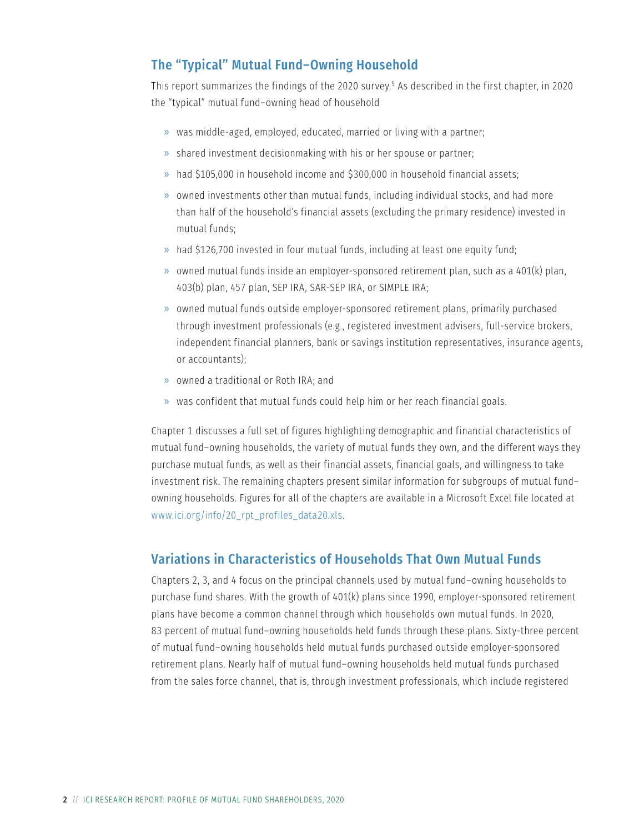### The "Typical" Mutual Fund–Owning Household

This report summarizes the findings of the 2020 survey.5 As described in the first chapter, in 2020 the "typical" mutual fund–owning head of household

- » was middle-aged, employed, educated, married or living with a partner;
- » shared investment decisionmaking with his or her spouse or partner;
- » had \$105,000 in household income and \$300,000 in household financial assets;
- » owned investments other than mutual funds, including individual stocks, and had more than half of the household's financial assets (excluding the primary residence) invested in mutual funds;
- » had \$126,700 invested in four mutual funds, including at least one equity fund;
- » owned mutual funds inside an employer-sponsored retirement plan, such as a 401(k) plan, 403(b) plan, 457 plan, SEP IRA, SAR-SEP IRA, or SIMPLE IRA;
- » owned mutual funds outside employer-sponsored retirement plans, primarily purchased through investment professionals (e.g., registered investment advisers, full-service brokers, independent financial planners, bank or savings institution representatives, insurance agents, or accountants);
- » owned a traditional or Roth IRA; and
- » was confident that mutual funds could help him or her reach financial goals.

Chapter 1 discusses a full set of figures highlighting demographic and financial characteristics of mutual fund–owning households, the variety of mutual funds they own, and the different ways they purchase mutual funds, as well as their financial assets, financial goals, and willingness to take investment risk. The remaining chapters present similar information for subgroups of mutual fund– owning households. Figures for all of the chapters are available in a Microsoft Excel file located at [www.ici.org/info/20\\_rpt\\_profiles\\_data20.xls.](http://www.ici.org/info/20_rpt_profiles_data20.xls)

#### Variations in Characteristics of Households That Own Mutual Funds

Chapters 2, 3, and 4 focus on the principal channels used by mutual fund–owning households to purchase fund shares. With the growth of 401(k) plans since 1990, employer-sponsored retirement plans have become a common channel through which households own mutual funds. In 2020, 83 percent of mutual fund–owning households held funds through these plans. Sixty-three percent of mutual fund–owning households held mutual funds purchased outside employer-sponsored retirement plans. Nearly half of mutual fund–owning households held mutual funds purchased from the sales force channel, that is, through investment professionals, which include registered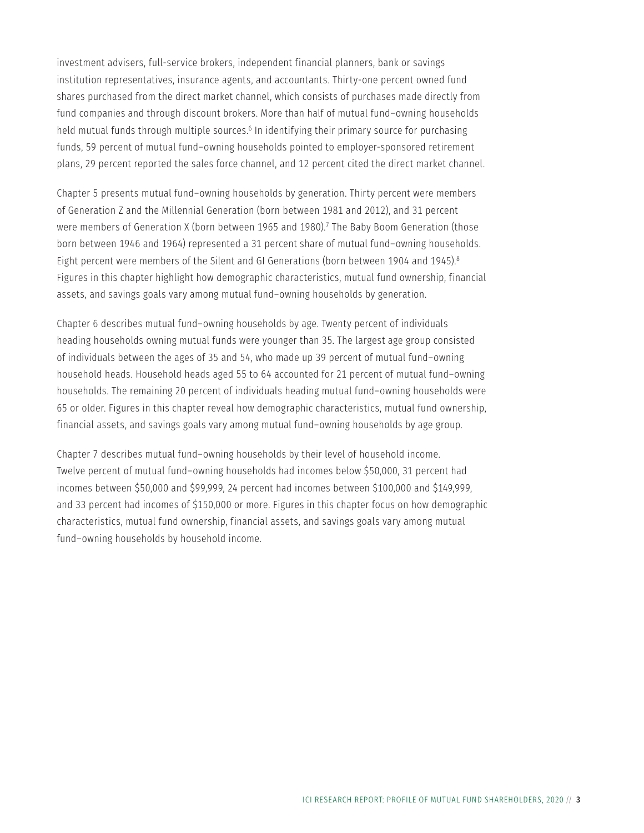investment advisers, full-service brokers, independent financial planners, bank or savings institution representatives, insurance agents, and accountants. Thirty-one percent owned fund shares purchased from the direct market channel, which consists of purchases made directly from fund companies and through discount brokers. More than half of mutual fund–owning households held mutual funds through multiple sources.<sup>6</sup> In identifying their primary source for purchasing funds, 59 percent of mutual fund–owning households pointed to employer-sponsored retirement plans, 29 percent reported the sales force channel, and 12 percent cited the direct market channel.

Chapter 5 presents mutual fund–owning households by generation. Thirty percent were members of Generation Z and the Millennial Generation (born between 1981 and 2012), and 31 percent were members of Generation X (born between 1965 and 1980).7 The Baby Boom Generation (those born between 1946 and 1964) represented a 31 percent share of mutual fund–owning households. Eight percent were members of the Silent and GI Generations (born between 1904 and 1945).8 Figures in this chapter highlight how demographic characteristics, mutual fund ownership, financial assets, and savings goals vary among mutual fund–owning households by generation.

Chapter 6 describes mutual fund–owning households by age. Twenty percent of individuals heading households owning mutual funds were younger than 35. The largest age group consisted of individuals between the ages of 35 and 54, who made up 39 percent of mutual fund–owning household heads. Household heads aged 55 to 64 accounted for 21 percent of mutual fund–owning households. The remaining 20 percent of individuals heading mutual fund–owning households were 65 or older. Figures in this chapter reveal how demographic characteristics, mutual fund ownership, financial assets, and savings goals vary among mutual fund–owning households by age group.

Chapter 7 describes mutual fund–owning households by their level of household income. Twelve percent of mutual fund–owning households had incomes below \$50,000, 31 percent had incomes between \$50,000 and \$99,999, 24 percent had incomes between \$100,000 and \$149,999, and 33 percent had incomes of \$150,000 or more. Figures in this chapter focus on how demographic characteristics, mutual fund ownership, financial assets, and savings goals vary among mutual fund–owning households by household income.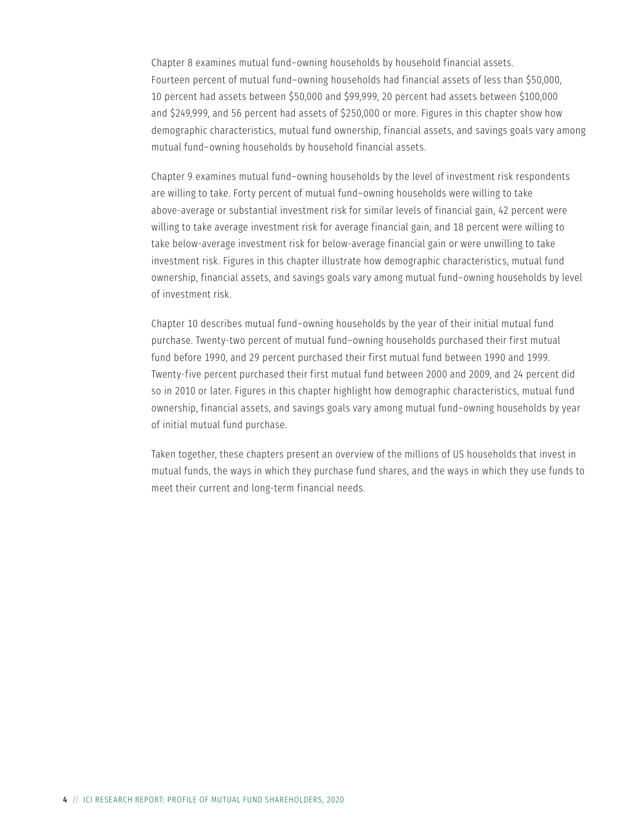Chapter 8 examines mutual fund–owning households by household financial assets. Fourteen percent of mutual fund–owning households had financial assets of less than \$50,000, 10 percent had assets between \$50,000 and \$99,999, 20 percent had assets between \$100,000 and \$249,999, and 56 percent had assets of \$250,000 or more. Figures in this chapter show how demographic characteristics, mutual fund ownership, financial assets, and savings goals vary among mutual fund–owning households by household financial assets.

Chapter 9 examines mutual fund–owning households by the level of investment risk respondents are willing to take. Forty percent of mutual fund–owning households were willing to take above-average or substantial investment risk for similar levels of financial gain, 42 percent were willing to take average investment risk for average financial gain, and 18 percent were willing to take below-average investment risk for below-average financial gain or were unwilling to take investment risk. Figures in this chapter illustrate how demographic characteristics, mutual fund ownership, financial assets, and savings goals vary among mutual fund–owning households by level of investment risk.

Chapter 10 describes mutual fund–owning households by the year of their initial mutual fund purchase. Twenty-two percent of mutual fund–owning households purchased their first mutual fund before 1990, and 29 percent purchased their first mutual fund between 1990 and 1999. Twenty-five percent purchased their first mutual fund between 2000 and 2009, and 24 percent did so in 2010 or later. Figures in this chapter highlight how demographic characteristics, mutual fund ownership, financial assets, and savings goals vary among mutual fund–owning households by year of initial mutual fund purchase.

Taken together, these chapters present an overview of the millions of US households that invest in mutual funds, the ways in which they purchase fund shares, and the ways in which they use funds to meet their current and long-term financial needs.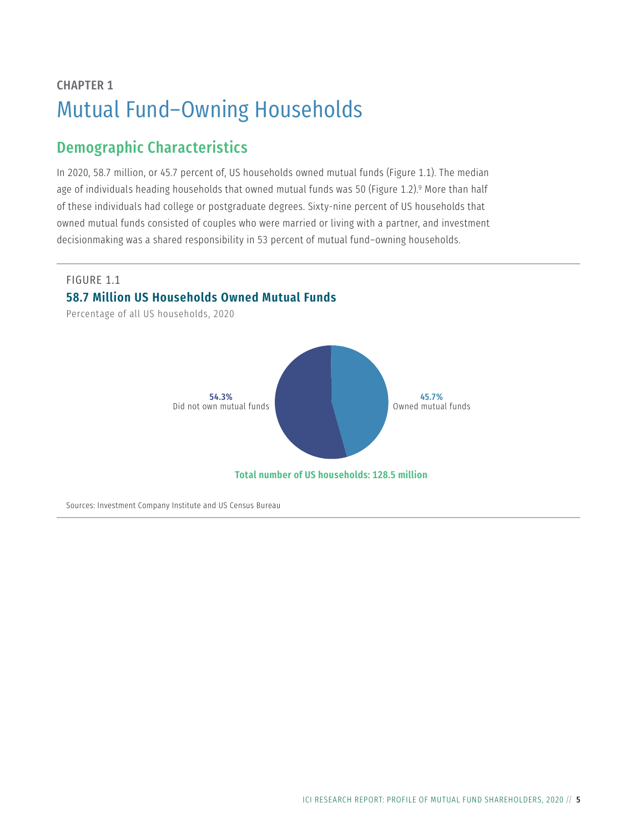## <span id="page-12-0"></span>CHAPTER 1 Mutual Fund–Owning Households

## Demographic Characteristics

In 2020, 58.7 million, or 45.7 percent of, US households owned mutual funds (Figure 1.1). The median age of individuals heading households that owned mutual funds was 50 (Figure 1.2).<sup>9</sup> More than half of these individuals had college or postgraduate degrees. Sixty-nine percent of US households that owned mutual funds consisted of couples who were married or living with a partner, and investment decisionmaking was a shared responsibility in 53 percent of mutual fund–owning households.

#### FIGURE 1.1

#### **58.7 Million US Households Owned Mutual Funds**

Percentage of all US households, 2020



Sources: Investment Company Institute and US Census Bureau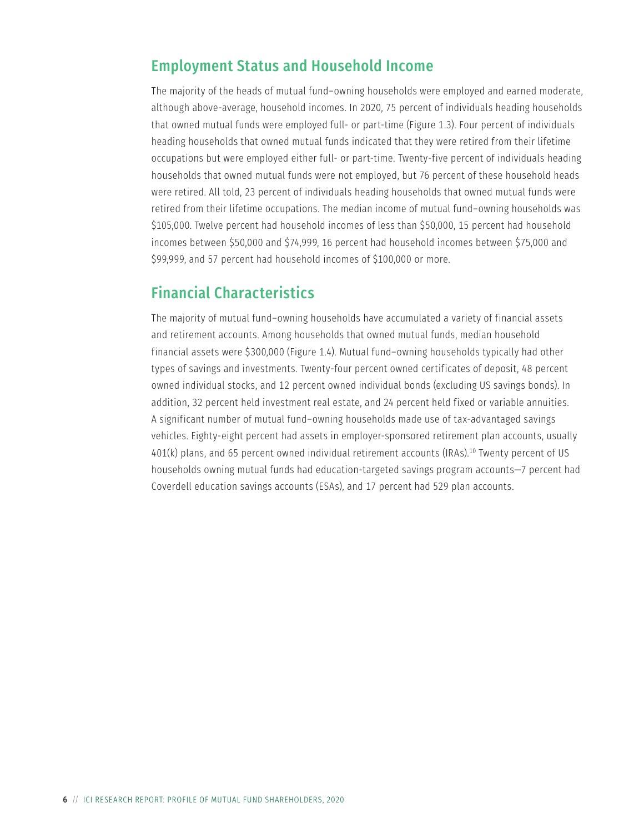### Employment Status and Household Income

The majority of the heads of mutual fund–owning households were employed and earned moderate, although above-average, household incomes. In 2020, 75 percent of individuals heading households that owned mutual funds were employed full- or part-time (Figure 1.3). Four percent of individuals heading households that owned mutual funds indicated that they were retired from their lifetime occupations but were employed either full- or part-time. Twenty-five percent of individuals heading households that owned mutual funds were not employed, but 76 percent of these household heads were retired. All told, 23 percent of individuals heading households that owned mutual funds were retired from their lifetime occupations. The median income of mutual fund–owning households was \$105,000. Twelve percent had household incomes of less than \$50,000, 15 percent had household incomes between \$50,000 and \$74,999, 16 percent had household incomes between \$75,000 and \$99,999, and 57 percent had household incomes of \$100,000 or more.

### Financial Characteristics

The majority of mutual fund–owning households have accumulated a variety of financial assets and retirement accounts. Among households that owned mutual funds, median household financial assets were \$300,000 (Figure 1.4). Mutual fund–owning households typically had other types of savings and investments. Twenty-four percent owned certificates of deposit, 48 percent owned individual stocks, and 12 percent owned individual bonds (excluding US savings bonds). In addition, 32 percent held investment real estate, and 24 percent held fixed or variable annuities. A significant number of mutual fund–owning households made use of tax-advantaged savings vehicles. Eighty-eight percent had assets in employer-sponsored retirement plan accounts, usually 401(k) plans, and 65 percent owned individual retirement accounts (IRAs).10 Twenty percent of US households owning mutual funds had education-targeted savings program accounts—7 percent had Coverdell education savings accounts (ESAs), and 17 percent had 529 plan accounts.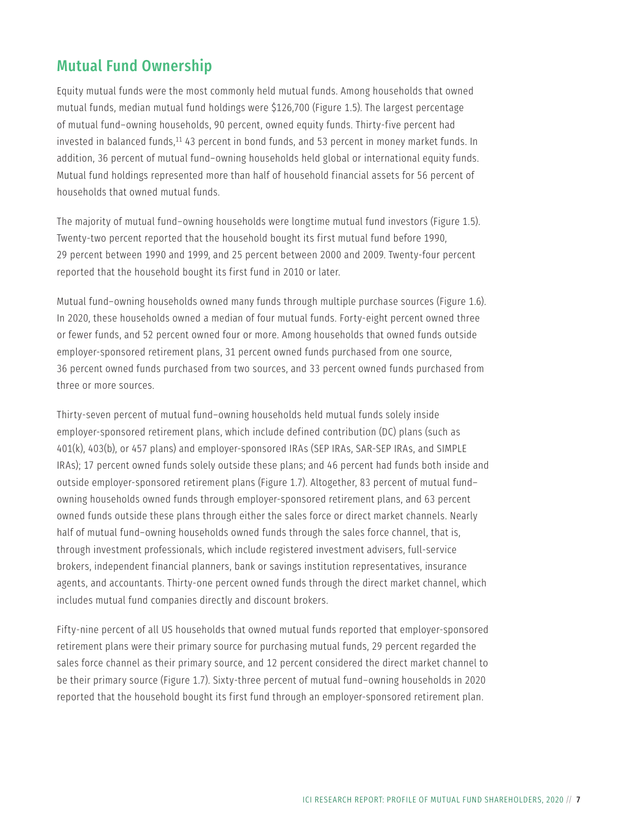## Mutual Fund Ownership

Equity mutual funds were the most commonly held mutual funds. Among households that owned mutual funds, median mutual fund holdings were \$126,700 (Figure 1.5). The largest percentage of mutual fund–owning households, 90 percent, owned equity funds. Thirty-five percent had invested in balanced funds,<sup>11</sup> 43 percent in bond funds, and 53 percent in money market funds. In addition, 36 percent of mutual fund–owning households held global or international equity funds. Mutual fund holdings represented more than half of household financial assets for 56 percent of households that owned mutual funds.

The majority of mutual fund–owning households were longtime mutual fund investors (Figure 1.5). Twenty-two percent reported that the household bought its first mutual fund before 1990, 29 percent between 1990 and 1999, and 25 percent between 2000 and 2009. Twenty-four percent reported that the household bought its first fund in 2010 or later.

Mutual fund–owning households owned many funds through multiple purchase sources (Figure 1.6). In 2020, these households owned a median of four mutual funds. Forty-eight percent owned three or fewer funds, and 52 percent owned four or more. Among households that owned funds outside employer-sponsored retirement plans, 31 percent owned funds purchased from one source, 36 percent owned funds purchased from two sources, and 33 percent owned funds purchased from three or more sources.

Thirty-seven percent of mutual fund–owning households held mutual funds solely inside employer-sponsored retirement plans, which include defined contribution (DC) plans (such as 401(k), 403(b), or 457 plans) and employer-sponsored IRAs (SEP IRAs, SAR-SEP IRAs, and SIMPLE IRAs); 17 percent owned funds solely outside these plans; and 46 percent had funds both inside and outside employer-sponsored retirement plans (Figure 1.7). Altogether, 83 percent of mutual fund– owning households owned funds through employer-sponsored retirement plans, and 63 percent owned funds outside these plans through either the sales force or direct market channels. Nearly half of mutual fund–owning households owned funds through the sales force channel, that is, through investment professionals, which include registered investment advisers, full-service brokers, independent financial planners, bank or savings institution representatives, insurance agents, and accountants. Thirty-one percent owned funds through the direct market channel, which includes mutual fund companies directly and discount brokers.

Fifty-nine percent of all US households that owned mutual funds reported that employer-sponsored retirement plans were their primary source for purchasing mutual funds, 29 percent regarded the sales force channel as their primary source, and 12 percent considered the direct market channel to be their primary source (Figure 1.7). Sixty-three percent of mutual fund–owning households in 2020 reported that the household bought its first fund through an employer-sponsored retirement plan.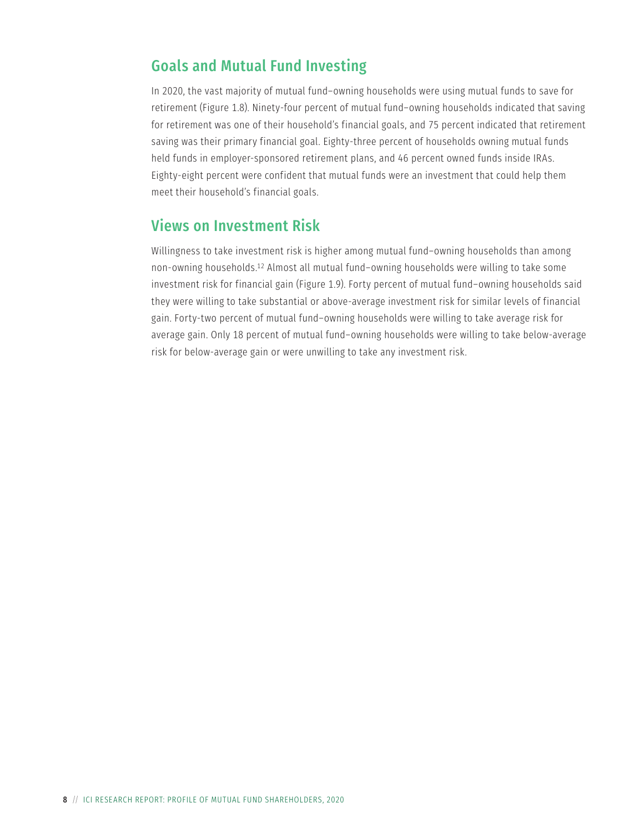## Goals and Mutual Fund Investing

In 2020, the vast majority of mutual fund–owning households were using mutual funds to save for retirement (Figure 1.8). Ninety-four percent of mutual fund–owning households indicated that saving for retirement was one of their household's financial goals, and 75 percent indicated that retirement saving was their primary financial goal. Eighty-three percent of households owning mutual funds held funds in employer-sponsored retirement plans, and 46 percent owned funds inside IRAs. Eighty-eight percent were confident that mutual funds were an investment that could help them meet their household's financial goals.

### Views on Investment Risk

Willingness to take investment risk is higher among mutual fund–owning households than among non-owning households.12 Almost all mutual fund–owning households were willing to take some investment risk for financial gain (Figure 1.9). Forty percent of mutual fund–owning households said they were willing to take substantial or above-average investment risk for similar levels of financial gain. Forty-two percent of mutual fund–owning households were willing to take average risk for average gain. Only 18 percent of mutual fund–owning households were willing to take below-average risk for below-average gain or were unwilling to take any investment risk.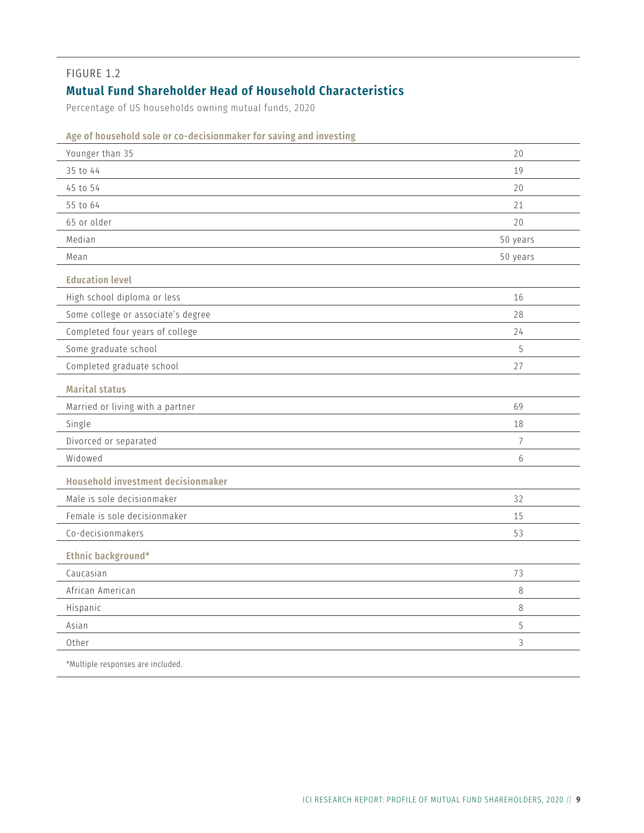### <span id="page-16-0"></span>**Mutual Fund Shareholder Head of Household Characteristics**

Percentage of US households owning mutual funds, 2020

| Younger than 35                    | 20             |
|------------------------------------|----------------|
| 35 to 44                           | 19             |
| 45 to 54                           | 20             |
| 55 to 64                           | 21             |
| 65 or older                        | 20             |
| Median                             | 50 years       |
| Mean                               | 50 years       |
| <b>Education level</b>             |                |
| High school diploma or less        | 16             |
| Some college or associate's degree | 28             |
| Completed four years of college    | 24             |
| Some graduate school               | 5              |
| Completed graduate school          | 27             |
| <b>Marital status</b>              |                |
| Married or living with a partner   | 69             |
| Single                             | 18             |
| Divorced or separated              | $\overline{7}$ |
| Widowed                            | 6              |
| Household investment decisionmaker |                |
| Male is sole decisionmaker         | 32             |
| Female is sole decisionmaker       | 15             |
| Co-decisionmakers                  | 53             |
| Ethnic background*                 |                |
| Caucasian                          | 73             |
| African American                   | 8              |
| Hispanic                           | 8              |
| Asian                              | 5              |
| Other                              | 3              |
| *Multiple responses are included.  |                |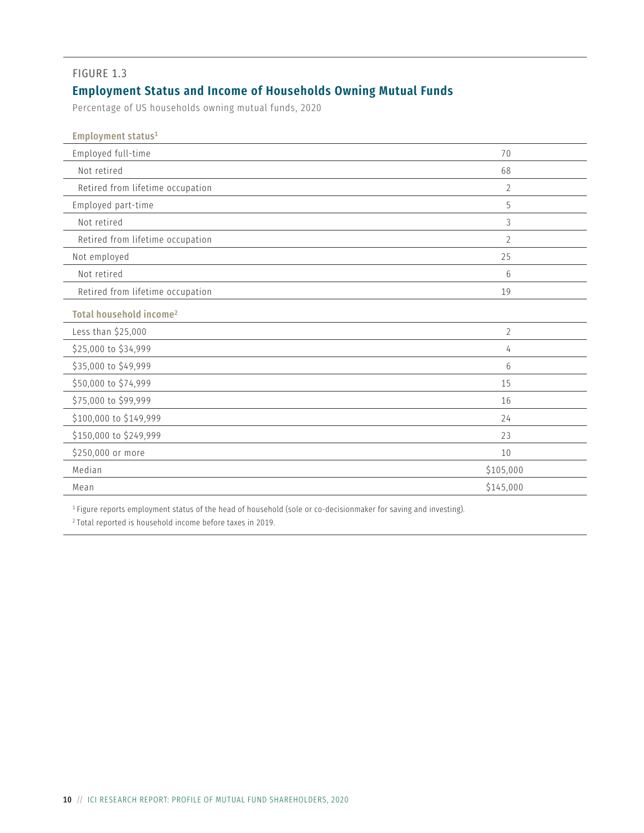## <span id="page-17-0"></span>**Employment Status and Income of Households Owning Mutual Funds**

Percentage of US households owning mutual funds, 2020

| Employment status <sup>1</sup>      |                 |
|-------------------------------------|-----------------|
| Employed full-time                  | 70              |
| Not retired                         | 68              |
| Retired from lifetime occupation    | $\overline{2}$  |
| Employed part-time                  | 5               |
| Not retired                         | 3               |
| Retired from lifetime occupation    | $\overline{2}$  |
| Not employed                        | 25              |
| Not retired                         | 6               |
| Retired from lifetime occupation    | 19              |
| Total household income <sup>2</sup> |                 |
| Less than \$25,000                  | $\overline{2}$  |
| \$25,000 to \$34,999                | 4               |
| \$35,000 to \$49,999                | $6\overline{6}$ |
| \$50,000 to \$74,999                | 15              |
| \$75,000 to \$99,999                | 16              |
| \$100,000 to \$149,999              | 24              |
| \$150,000 to \$249,999              | 23              |
| \$250,000 or more                   | 10              |
| Median                              | \$105,000       |
| Mean                                | \$145,000       |

<sup>1</sup> Figure reports employment status of the head of household (sole or co-decisionmaker for saving and investing).

<sup>2</sup> Total reported is household income before taxes in 2019.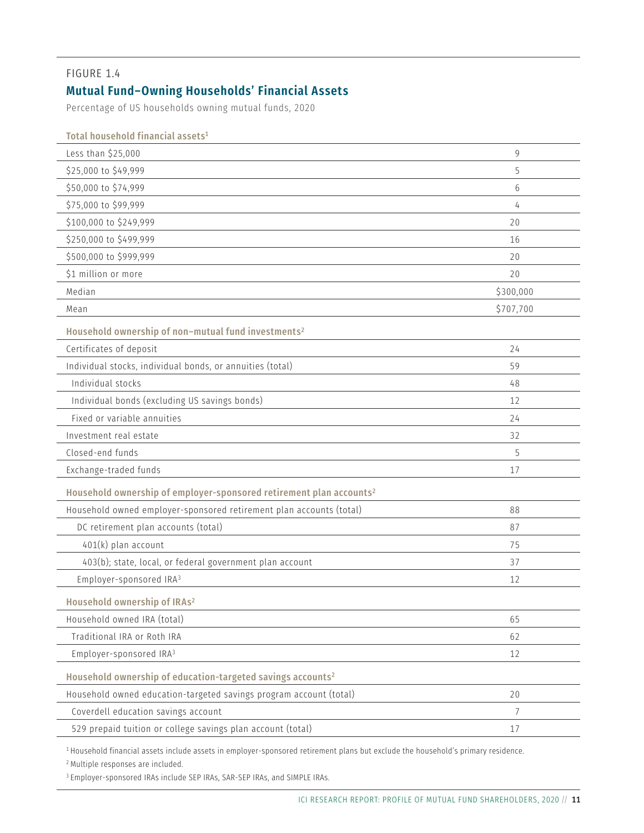### <span id="page-18-0"></span>**Mutual Fund–Owning Households' Financial Assets**

Percentage of US households owning mutual funds, 2020

| Total household financial assets $^{\rm 1}$                                     |           |
|---------------------------------------------------------------------------------|-----------|
| Less than \$25,000                                                              | 9         |
| \$25,000 to \$49,999                                                            | 5         |
| \$50,000 to \$74,999                                                            | 6         |
| \$75,000 to \$99,999                                                            | 4         |
| \$100,000 to \$249,999                                                          | 20        |
| \$250,000 to \$499,999                                                          | 16        |
| \$500,000 to \$999,999                                                          | 20        |
| \$1 million or more                                                             | 20        |
| Median                                                                          | \$300,000 |
| Mean                                                                            | \$707,700 |
| Household ownership of non-mutual fund investments <sup>2</sup>                 |           |
| Certificates of deposit                                                         | 24        |
| Individual stocks, individual bonds, or annuities (total)                       | 59        |
| Individual stocks                                                               | 48        |
| Individual bonds (excluding US savings bonds)                                   | 12        |
| Fixed or variable annuities                                                     | 24        |
| Investment real estate                                                          | 32        |
| Closed-end funds                                                                | 5         |
| Exchange-traded funds                                                           | 17        |
| Household ownership of employer-sponsored retirement plan accounts <sup>2</sup> |           |
| Household owned employer-sponsored retirement plan accounts (total)             | 88        |
| DC retirement plan accounts (total)                                             | 87        |
| 401(k) plan account                                                             | 75        |
| 403(b); state, local, or federal government plan account                        | 37        |
| Employer-sponsored IRA <sup>3</sup>                                             | 12        |
| Household ownership of IRAs <sup>2</sup>                                        |           |
| Household owned IRA (total)                                                     | 65        |
| Traditional IRA or Roth IRA                                                     | 62        |
| Employer-sponsored IRA <sup>3</sup>                                             | 12        |
| Household ownership of education-targeted savings accounts <sup>2</sup>         |           |
| Household owned education-targeted savings program account (total)              | 20        |
| Coverdell education savings account                                             | 7         |
| 529 prepaid tuition or college savings plan account (total)                     | 17        |

<sup>1</sup> Household financial assets include assets in employer-sponsored retirement plans but exclude the household's primary residence.

<sup>2</sup> Multiple responses are included.

<sup>3</sup> Employer-sponsored IRAs include SEP IRAs, SAR-SEP IRAs, and SIMPLE IRAs.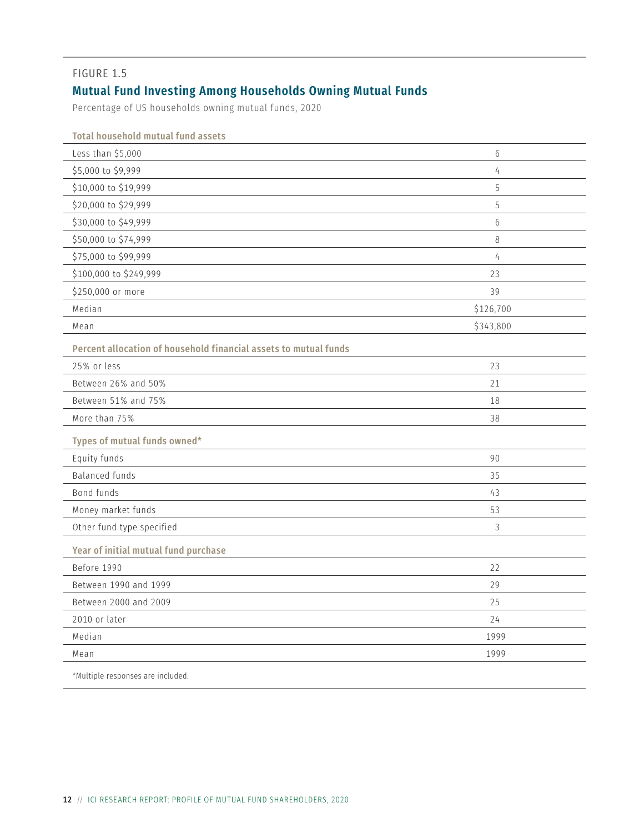### <span id="page-19-0"></span>**Mutual Fund Investing Among Households Owning Mutual Funds**

Percentage of US households owning mutual funds, 2020

| <b>Total household mutual fund assets</b>                        |                |  |
|------------------------------------------------------------------|----------------|--|
| Less than \$5,000                                                | $6\,$          |  |
| \$5,000 to \$9,999                                               | 4              |  |
| \$10,000 to \$19,999                                             | 5              |  |
| \$20,000 to \$29,999                                             | 5              |  |
| \$30,000 to \$49,999                                             | $6\,$          |  |
| \$50,000 to \$74,999                                             | 8              |  |
| \$75,000 to \$99,999                                             | $\overline{4}$ |  |
| \$100,000 to \$249,999                                           | 23             |  |
| \$250,000 or more                                                | 39             |  |
| Median                                                           | \$126,700      |  |
| Mean                                                             | \$343,800      |  |
| Percent allocation of household financial assets to mutual funds |                |  |
| 25% or less                                                      | 23             |  |
| Between 26% and 50%                                              | 21             |  |
| Between 51% and 75%                                              | 18             |  |
| More than 75%                                                    | 38             |  |
| Types of mutual funds owned*                                     |                |  |
| Equity funds                                                     | 90             |  |
| <b>Balanced funds</b>                                            | 35             |  |
| Bond funds                                                       | 43             |  |
| Money market funds                                               | 53             |  |
| Other fund type specified                                        | 3              |  |
| Year of initial mutual fund purchase                             |                |  |
| Before 1990                                                      | 22             |  |
| Between 1990 and 1999                                            | 29             |  |
| Between 2000 and 2009                                            | 25             |  |
| 2010 or later                                                    | 24             |  |
| Median                                                           | 1999           |  |
| Mean                                                             | 1999           |  |
| *Multiple responses are included.                                |                |  |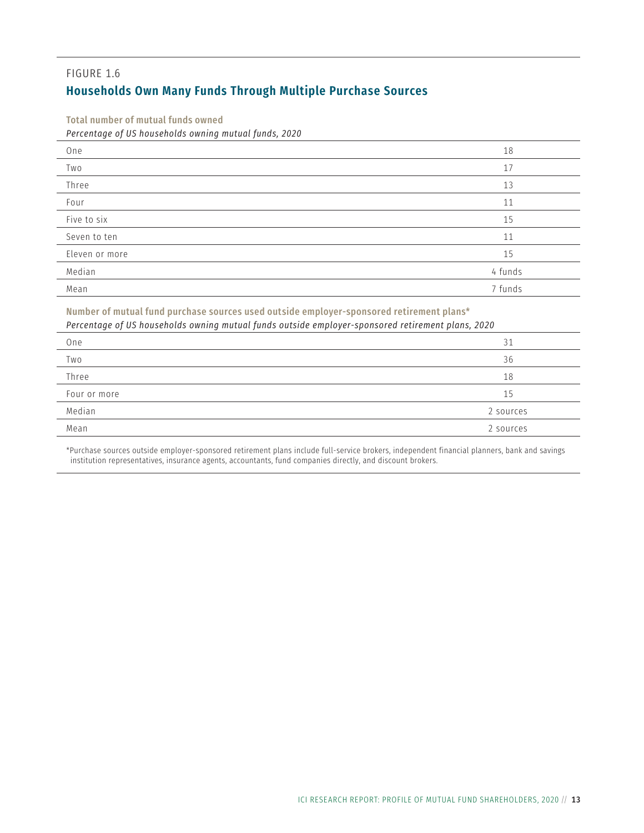#### <span id="page-20-0"></span>FIGURE 1.6 **Households Own Many Funds Through Multiple Purchase Sources**

Total number of mutual funds owned

*Percentage of US households owning mutual funds, 2020*

| One            | 18      |
|----------------|---------|
| Two            | 17      |
| Three          | 13      |
| Four           | 11      |
| Five to six    | 15      |
| Seven to ten   | 11      |
| Eleven or more | 15      |
| Median         | 4 funds |
| Mean           | 7 funds |

Number of mutual fund purchase sources used outside employer-sponsored retirement plans\* *Percentage of US households owning mutual funds outside employer-sponsored retirement plans, 2020*

| Percentage of 05 nouseholds owning mutual funds outside employer-sponsored retirement plans, 2020 |           |  |
|---------------------------------------------------------------------------------------------------|-----------|--|
| One                                                                                               | 31        |  |
| Two                                                                                               | 36        |  |
| Three                                                                                             | 18        |  |
| Four or more                                                                                      | 15        |  |
| Median                                                                                            | 2 sources |  |
| Mean                                                                                              | 2 sources |  |

\*Purchase sources outside employer-sponsored retirement plans include full-service brokers, independent financial planners, bank and savings institution representatives, insurance agents, accountants, fund companies directly, and discount brokers.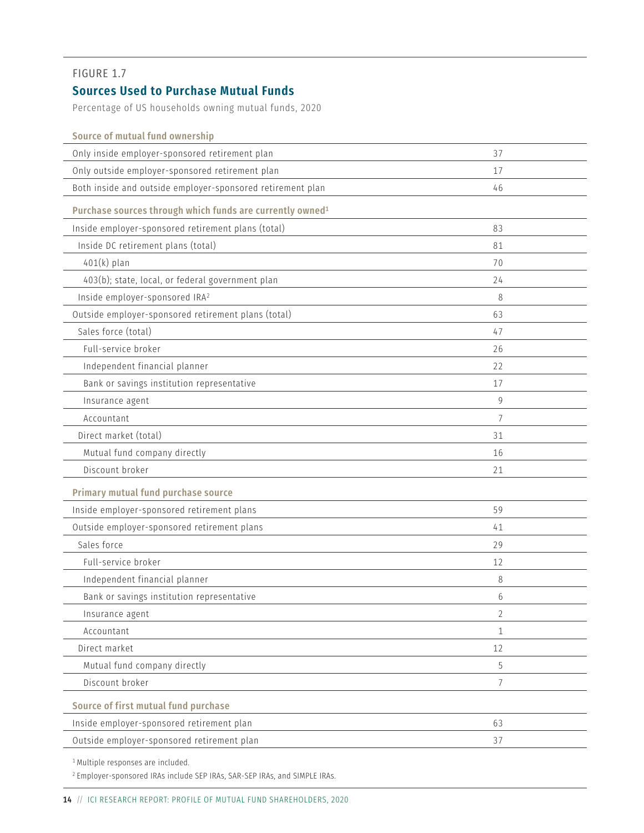#### <span id="page-21-0"></span>**Sources Used to Purchase Mutual Funds**

Percentage of US households owning mutual funds, 2020

| Source of mutual fund ownership                                       |                |
|-----------------------------------------------------------------------|----------------|
| Only inside employer-sponsored retirement plan                        | 37             |
| Only outside employer-sponsored retirement plan                       | 17             |
| Both inside and outside employer-sponsored retirement plan            | 46             |
| Purchase sources through which funds are currently owned <sup>1</sup> |                |
| Inside employer-sponsored retirement plans (total)                    | 83             |
| Inside DC retirement plans (total)                                    | 81             |
| $401(k)$ plan                                                         | 70             |
| 403(b); state, local, or federal government plan                      | 24             |
| Inside employer-sponsored IRA <sup>2</sup>                            | 8              |
| Outside employer-sponsored retirement plans (total)                   | 63             |
| Sales force (total)                                                   | 47             |
| Full-service broker                                                   | 26             |
| Independent financial planner                                         | 22             |
| Bank or savings institution representative                            | 17             |
| Insurance agent                                                       | 9              |
| Accountant                                                            | 7              |
| Direct market (total)                                                 | 31             |
| Mutual fund company directly                                          | 16             |
| Discount broker                                                       | 21             |
| Primary mutual fund purchase source                                   |                |
| Inside employer-sponsored retirement plans                            | 59             |
| Outside employer-sponsored retirement plans                           | 41             |
| Sales force                                                           | 29             |
| Full-service broker                                                   | 12             |
| Independent financial planner                                         | 8              |
| Bank or savings institution representative                            | 6              |
| Insurance agent                                                       | $\overline{2}$ |
| Accountant                                                            | $\mathbf{1}$   |
| Direct market                                                         | 12             |
| Mutual fund company directly                                          | 5              |
| Discount broker                                                       | $\overline{7}$ |
| Source of first mutual fund purchase                                  |                |
| Inside employer-sponsored retirement plan                             | 63             |
| Outside employer-sponsored retirement plan                            | 37             |
|                                                                       |                |

<sup>1</sup> Multiple responses are included.

<sup>2</sup> Employer-sponsored IRAs include SEP IRAs, SAR-SEP IRAs, and SIMPLE IRAs.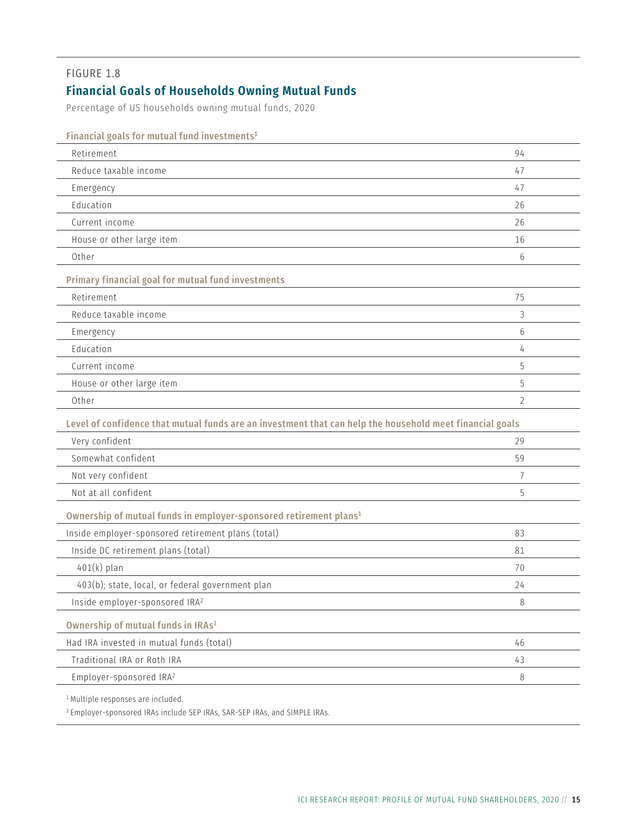### <span id="page-22-0"></span>**Financial Goals of Households Owning Mutual Funds**

Percentage of US households owning mutual funds, 2020

| Financial goals for mutual fund investments <sup>1</sup>                                                 |                |
|----------------------------------------------------------------------------------------------------------|----------------|
| Retirement                                                                                               | 94             |
| Reduce taxable income                                                                                    | 47             |
| Emergency                                                                                                | 47             |
| Education                                                                                                | 26             |
| Current income                                                                                           | 26             |
| House or other large item                                                                                | 16             |
| Other                                                                                                    | 6              |
| Primary financial goal for mutual fund investments                                                       |                |
| Retirement                                                                                               | 75             |
| Reduce taxable income                                                                                    | 3              |
| Emergency                                                                                                | 6              |
| Education                                                                                                | 4              |
| Current income                                                                                           | 5              |
| House or other large item                                                                                | 5              |
| Other                                                                                                    | $\overline{2}$ |
| Level of confidence that mutual funds are an investment that can help the household meet financial goals |                |
| Very confident                                                                                           | 29             |
| Somewhat confident                                                                                       | 59             |
| Not very confident                                                                                       | 7              |
| Not at all confident                                                                                     | 5              |
| Ownership of mutual funds in employer-sponsored retirement plans <sup>1</sup>                            |                |
| Inside employer-sponsored retirement plans (total)                                                       | 83             |
| Inside DC retirement plans (total)                                                                       | 81             |
| $401(k)$ plan                                                                                            | 70             |
| 403(b); state, local, or federal government plan                                                         | 24             |
| Inside employer-sponsored IRA <sup>2</sup>                                                               | 8              |
| Ownership of mutual funds in IRAs <sup>1</sup>                                                           |                |
| Had IRA invested in mutual funds (total)                                                                 | 46             |
| Traditional IRA or Roth IRA                                                                              | 43             |
| Employer-sponsored IRA <sup>2</sup>                                                                      | $\,8\,$        |
| <sup>1</sup> Multiple responses are included.                                                            |                |

<sup>2</sup> Employer-sponsored IRAs include SEP IRAs, SAR-SEP IRAs, and SIMPLE IRAs.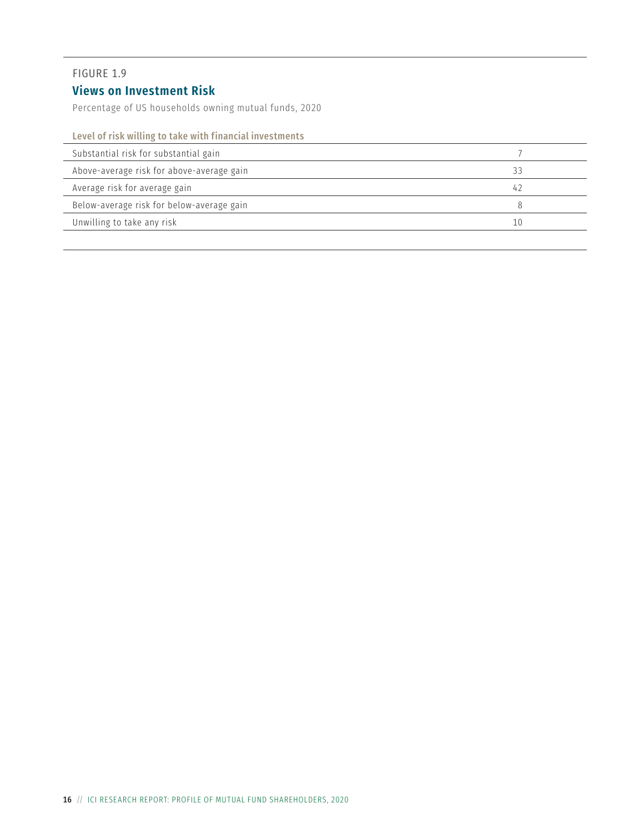### <span id="page-23-0"></span>**Views on Investment Risk**

Percentage of US households owning mutual funds, 2020

#### Level of risk willing to take with financial investments

| Substantial risk for substantial gain     |    |  |
|-------------------------------------------|----|--|
| Above-average risk for above-average gain | 33 |  |
| Average risk for average gain             | 47 |  |
| Below-average risk for below-average gain |    |  |
| Unwilling to take any risk                | 10 |  |
|                                           |    |  |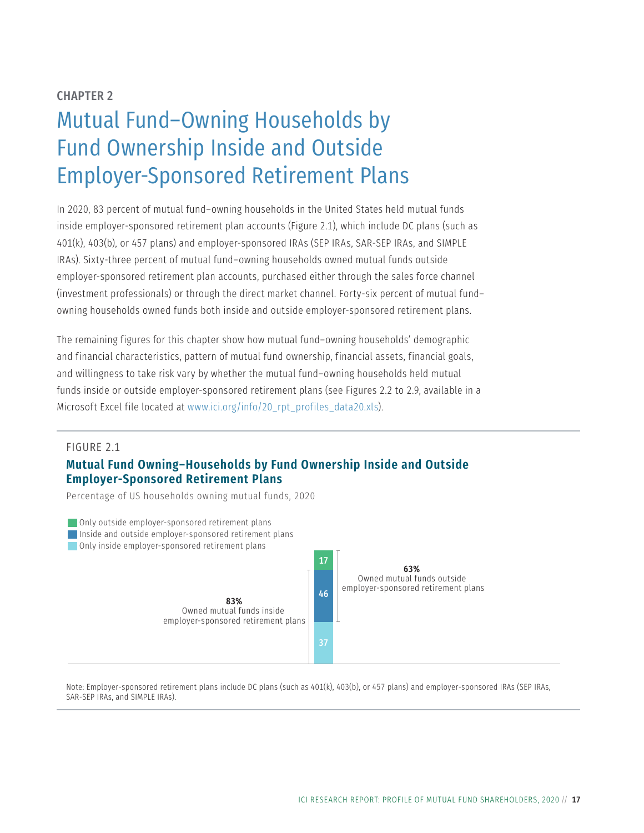## <span id="page-24-0"></span>CHAPTER 2 Mutual Fund–Owning Households by Fund Ownership Inside and Outside Employer‑Sponsored Retirement Plans

In 2020, 83 percent of mutual fund–owning households in the United States held mutual funds inside employer-sponsored retirement plan accounts (Figure 2.1), which include DC plans (such as 401(k), 403(b), or 457 plans) and employer-sponsored IRAs (SEP IRAs, SAR-SEP IRAs, and SIMPLE IRAs). Sixty-three percent of mutual fund–owning households owned mutual funds outside employer-sponsored retirement plan accounts, purchased either through the sales force channel (investment professionals) or through the direct market channel. Forty-six percent of mutual fund– owning households owned funds both inside and outside employer-sponsored retirement plans.

The remaining figures for this chapter show how mutual fund–owning households' demographic and financial characteristics, pattern of mutual fund ownership, financial assets, financial goals, and willingness to take risk vary by whether the mutual fund–owning households held mutual funds inside or outside employer-sponsored retirement plans (see Figures 2.2 to 2.9, available in a Microsoft Excel file located at [www.ici.org/info/20\\_rpt\\_profiles\\_data20.xls\)](http://www.ici.org/info/20_rpt_profiles_data20.xls).

#### FIGURE 2.1

#### **Mutual Fund Owning–Households by Fund Ownership Inside and Outside Employer‑Sponsored Retirement Plans**

Percentage of US households owning mutual funds, 2020



Note: Employer-sponsored retirement plans include DC plans (such as 401(k), 403(b), or 457 plans) and employer-sponsored IRAs (SEP IRAs, SAR-SEP IRAs, and SIMPLE IRAs).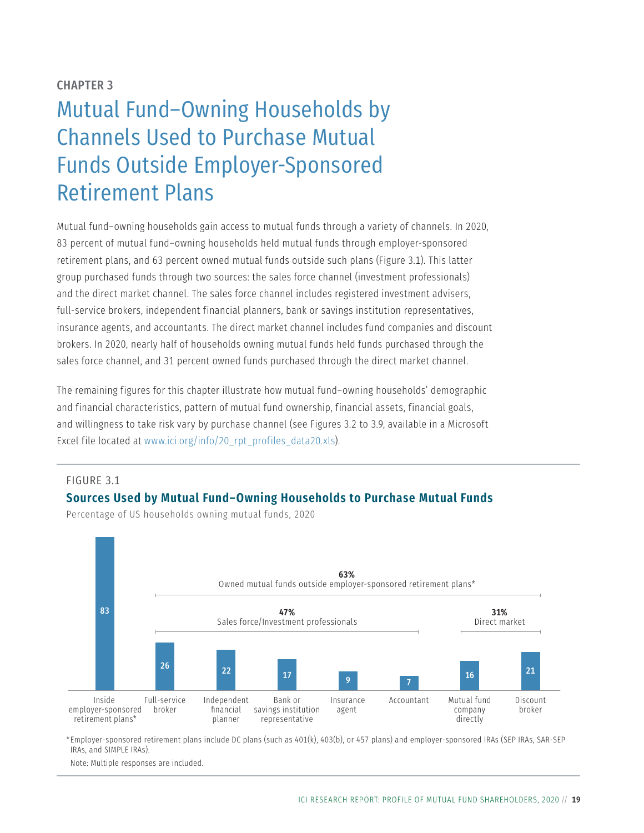#### <span id="page-26-0"></span>CHAPTER 3

## Mutual Fund–Owning Households by Channels Used to Purchase Mutual Funds Outside Employer-Sponsored Retirement Plans

Mutual fund–owning households gain access to mutual funds through a variety of channels. In 2020, 83 percent of mutual fund–owning households held mutual funds through employer-sponsored retirement plans, and 63 percent owned mutual funds outside such plans (Figure 3.1). This latter group purchased funds through two sources: the sales force channel (investment professionals) and the direct market channel. The sales force channel includes registered investment advisers, full-service brokers, independent financial planners, bank or savings institution representatives, insurance agents, and accountants. The direct market channel includes fund companies and discount brokers. In 2020, nearly half of households owning mutual funds held funds purchased through the sales force channel, and 31 percent owned funds purchased through the direct market channel.

The remaining figures for this chapter illustrate how mutual fund–owning households' demographic and financial characteristics, pattern of mutual fund ownership, financial assets, financial goals, and willingness to take risk vary by purchase channel (see Figures 3.2 to 3.9, available in a Microsoft Excel file located at [www.ici.org/info/20\\_rpt\\_profiles\\_data20.xls\)](http://www.ici.org/info/20_rpt_profiles_data20.xls).

#### FIGURE 3.1

#### **Sources Used by Mutual Fund–Owning Households to Purchase Mutual Funds**



Percentage of US households owning mutual funds, 2020

\* Employer-sponsored retirement plans include DC plans (such as 401(k), 403(b), or 457 plans) and employer-sponsored IRAs (SEP IRAs, SAR-SEP IRAs, and SIMPLE IRAs).

Note: Multiple responses are included.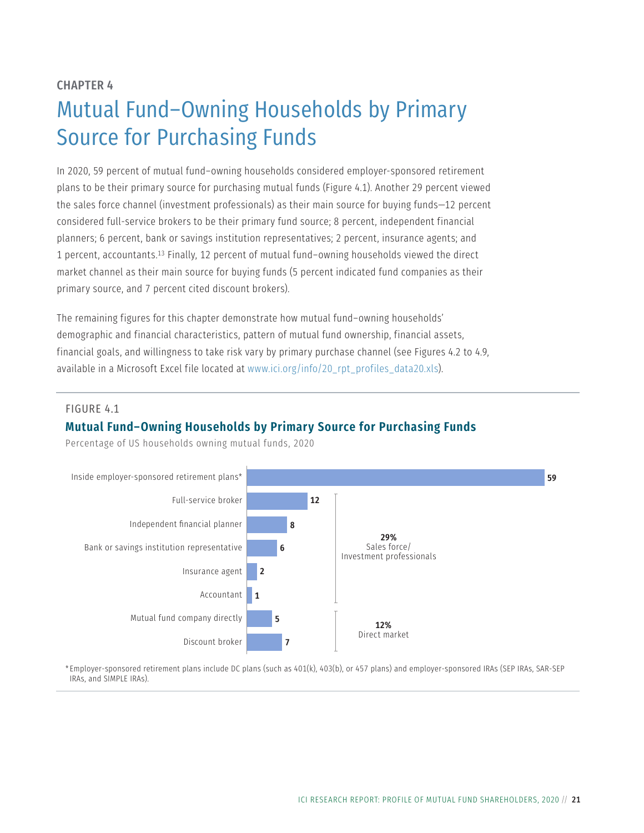#### <span id="page-28-0"></span>CHAPTER 4

## Mutual Fund–Owning Households by Primary Source for Purchasing Funds

In 2020, 59 percent of mutual fund–owning households considered employer-sponsored retirement plans to be their primary source for purchasing mutual funds (Figure 4.1). Another 29 percent viewed the sales force channel (investment professionals) as their main source for buying funds—12 percent considered full-service brokers to be their primary fund source; 8 percent, independent financial planners; 6 percent, bank or savings institution representatives; 2 percent, insurance agents; and 1 percent, accountants.13 Finally, 12 percent of mutual fund–owning households viewed the direct market channel as their main source for buying funds (5 percent indicated fund companies as their primary source, and 7 percent cited discount brokers).

The remaining figures for this chapter demonstrate how mutual fund–owning households' demographic and financial characteristics, pattern of mutual fund ownership, financial assets, financial goals, and willingness to take risk vary by primary purchase channel (see Figures 4.2 to 4.9, available in a Microsoft Excel file located at [www.ici.org/info/20\\_rpt\\_profiles\\_data20.xls\)](http://www.ici.org/info/20_rpt_profiles_data20.xls).

#### FIGURE 4.1

#### **Mutual Fund–Owning Households by Primary Source for Purchasing Funds**

Percentage of US households owning mutual funds, 2020



\* Employer-sponsored retirement plans include DC plans (such as 401(k), 403(b), or 457 plans) and employer-sponsored IRAs (SEP IRAs, SAR-SEP IRAs, and SIMPLE IRAs).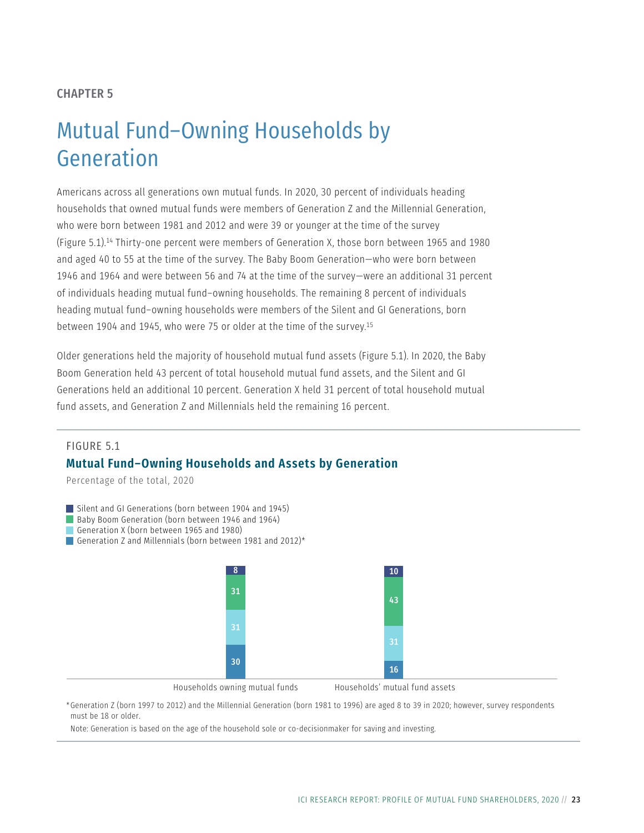#### <span id="page-30-0"></span>CHAPTER 5

## Mutual Fund–Owning Households by Generation

Americans across all generations own mutual funds. In 2020, 30 percent of individuals heading households that owned mutual funds were members of Generation Z and the Millennial Generation, who were born between 1981 and 2012 and were 39 or younger at the time of the survey (Figure 5.1).14 Thirty-one percent were members of Generation X, those born between 1965 and 1980 and aged 40 to 55 at the time of the survey. The Baby Boom Generation—who were born between 1946 and 1964 and were between 56 and 74 at the time of the survey—were an additional 31 percent of individuals heading mutual fund–owning households. The remaining 8 percent of individuals heading mutual fund–owning households were members of the Silent and GI Generations, born between 1904 and 1945, who were 75 or older at the time of the survey.15

Older generations held the majority of household mutual fund assets (Figure 5.1). In 2020, the Baby Boom Generation held 43 percent of total household mutual fund assets, and the Silent and GI Generations held an additional 10 percent. Generation X held 31 percent of total household mutual fund assets, and Generation Z and Millennials held the remaining 16 percent.

#### FIGURE 5.1 **Mutual Fund–Owning Households and Assets by Generation**

Percentage of the total, 2020



Baby Boom Generation (born between 1946 and 1964)

Generation X (born between 1965 and 1980)

Generation Z and Millennials (born between 1981 and 2012)<sup>\*</sup>



Households owning mutual funds

Households' mutual fund assets

\*Generation Z (born 1997 to 2012) and the Millennial Generation (born 1981 to 1996) are aged 8 to 39 in 2020; however, survey respondents must be 18 or older.

Note: Generation is based on the age of the household sole or co-decisionmaker for saving and investing.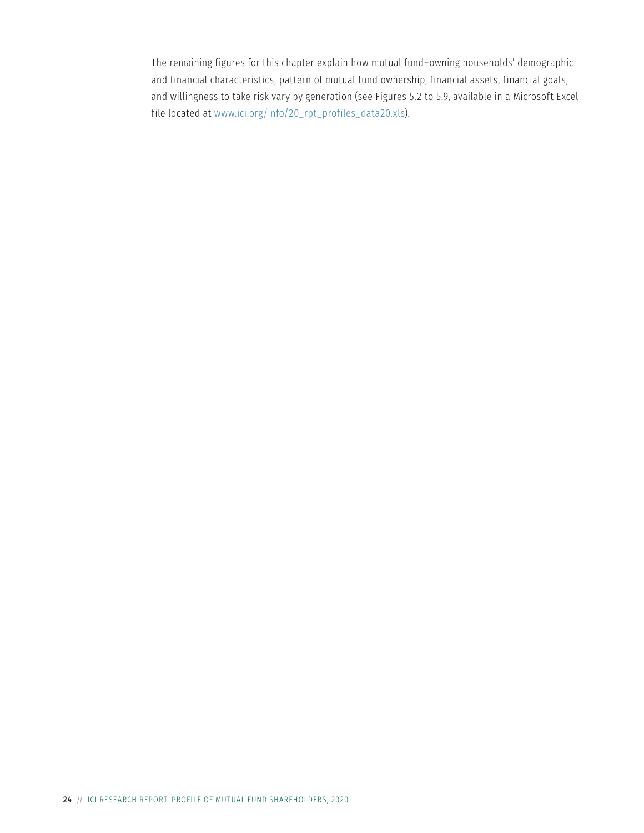The remaining figures for this chapter explain how mutual fund–owning households' demographic and financial characteristics, pattern of mutual fund ownership, financial assets, financial goals, and willingness to take risk vary by generation (see Figures 5.2 to 5.9, available in a Microsoft Excel file located at [www.ici.org/info/20\\_rpt\\_profiles\\_data20.xls\)](http://www.ici.org/info/20_rpt_profiles_data20.xls).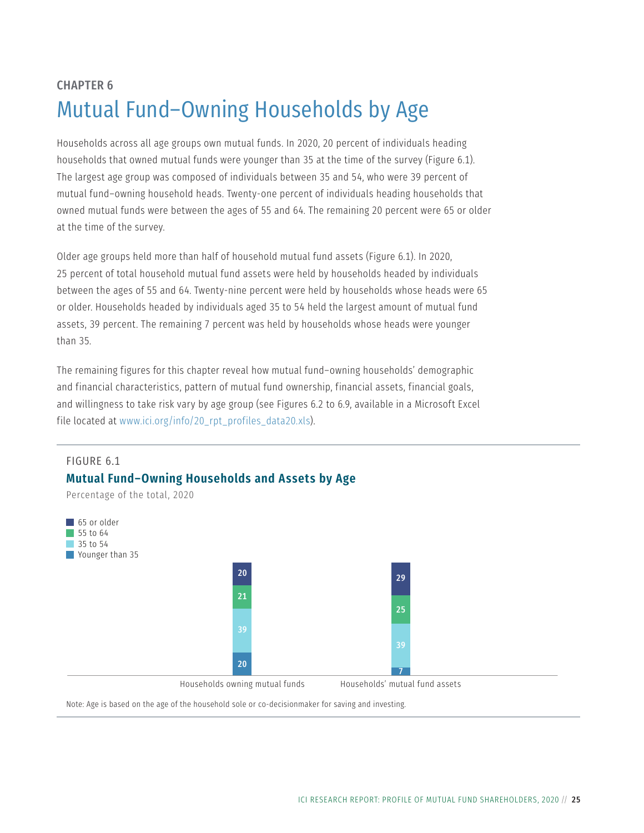## <span id="page-32-0"></span>CHAPTER 6 Mutual Fund–Owning Households by Age

Households across all age groups own mutual funds. In 2020, 20 percent of individuals heading households that owned mutual funds were younger than 35 at the time of the survey (Figure 6.1). The largest age group was composed of individuals between 35 and 54, who were 39 percent of mutual fund–owning household heads. Twenty-one percent of individuals heading households that owned mutual funds were between the ages of 55 and 64. The remaining 20 percent were 65 or older at the time of the survey.

Older age groups held more than half of household mutual fund assets (Figure 6.1). In 2020, 25 percent of total household mutual fund assets were held by households headed by individuals between the ages of 55 and 64. Twenty-nine percent were held by households whose heads were 65 or older. Households headed by individuals aged 35 to 54 held the largest amount of mutual fund assets, 39 percent. The remaining 7 percent was held by households whose heads were younger than 35.

The remaining figures for this chapter reveal how mutual fund–owning households' demographic and financial characteristics, pattern of mutual fund ownership, financial assets, financial goals, and willingness to take risk vary by age group (see Figures 6.2 to 6.9, available in a Microsoft Excel file located at [www.ici.org/info/20\\_rpt\\_profiles\\_data20.xls\)](http://www.ici.org/info/20_rpt_profiles_data20.xls).



Note: Age is based on the age of the household sole or co-decisionmaker for saving and investing.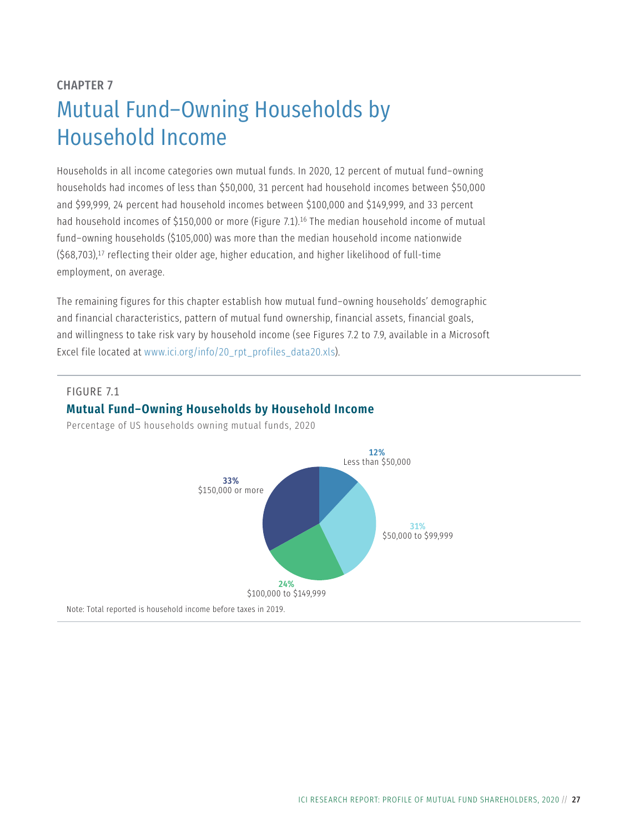## <span id="page-34-0"></span>CHAPTER 7 Mutual Fund–Owning Households by Household Income

Households in all income categories own mutual funds. In 2020, 12 percent of mutual fund–owning households had incomes of less than \$50,000, 31 percent had household incomes between \$50,000 and \$99,999, 24 percent had household incomes between \$100,000 and \$149,999, and 33 percent had household incomes of \$150,000 or more (Figure 7.1).<sup>16</sup> The median household income of mutual fund–owning households (\$105,000) was more than the median household income nationwide (\$68,703),17 reflecting their older age, higher education, and higher likelihood of full-time employment, on average.

The remaining figures for this chapter establish how mutual fund–owning households' demographic and financial characteristics, pattern of mutual fund ownership, financial assets, financial goals, and willingness to take risk vary by household income (see Figures 7.2 to 7.9, available in a Microsoft Excel file located at [www.ici.org/info/20\\_rpt\\_profiles\\_data20.xls\)](http://www.ici.org/info/20_rpt_profiles_data20.xls).

#### FIGURE 7.1

#### **Mutual Fund–Owning Households by Household Income**

Percentage of US households owning mutual funds, 2020

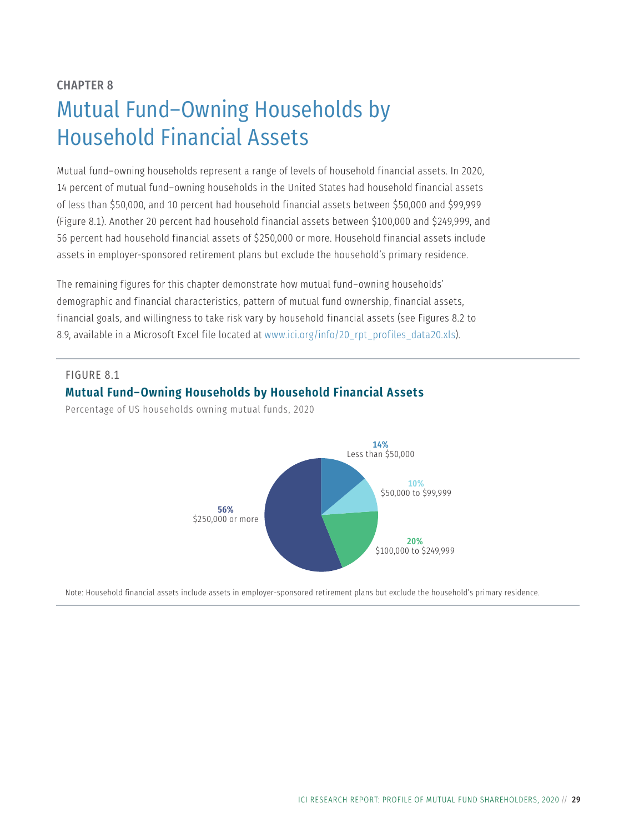## <span id="page-36-0"></span>CHAPTER 8 Mutual Fund–Owning Households by Household Financial Assets

Mutual fund–owning households represent a range of levels of household financial assets. In 2020, 14 percent of mutual fund–owning households in the United States had household financial assets of less than \$50,000, and 10 percent had household financial assets between \$50,000 and \$99,999 (Figure 8.1). Another 20 percent had household financial assets between \$100,000 and \$249,999, and 56 percent had household financial assets of \$250,000 or more. Household financial assets include assets in employer-sponsored retirement plans but exclude the household's primary residence.

The remaining figures for this chapter demonstrate how mutual fund–owning households' demographic and financial characteristics, pattern of mutual fund ownership, financial assets, financial goals, and willingness to take risk vary by household financial assets (see Figures 8.2 to 8.9, available in a Microsoft Excel file located at [www.ici.org/info/20\\_rpt\\_profiles\\_data20.xls](http://www.ici.org/info/20_rpt_profiles_data20.xls)).

#### FIGURE 8.1 **Mutual Fund–Owning Households by Household Financial Assets**

Percentage of US households owning mutual funds, 2020



Note: Household financial assets include assets in employer-sponsored retirement plans but exclude the household's primary residence.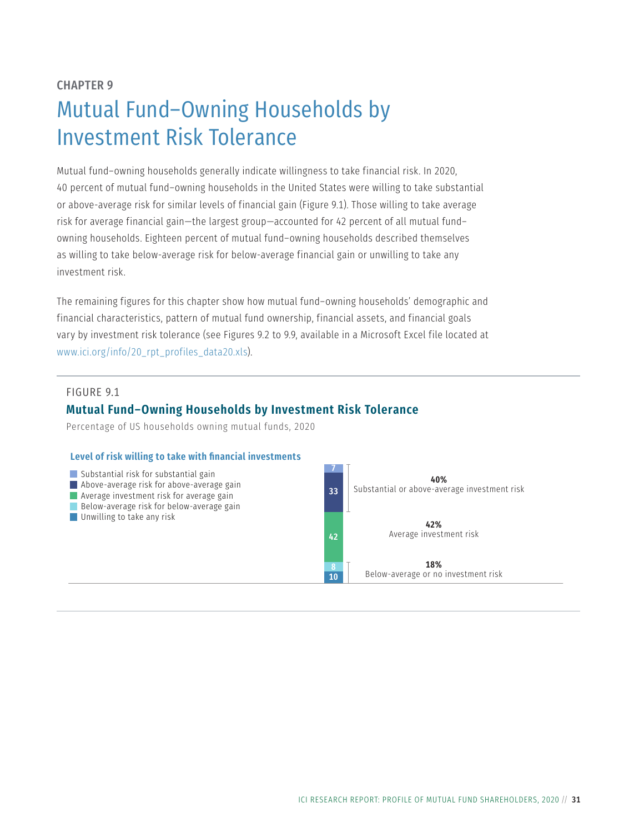## <span id="page-38-0"></span>CHAPTER 9 Mutual Fund–Owning Households by Investment Risk Tolerance

Mutual fund–owning households generally indicate willingness to take financial risk. In 2020, 40 percent of mutual fund–owning households in the United States were willing to take substantial or above-average risk for similar levels of financial gain (Figure 9.1). Those willing to take average risk for average financial gain—the largest group—accounted for 42 percent of all mutual fund– owning households. Eighteen percent of mutual fund–owning households described themselves as willing to take below-average risk for below-average financial gain or unwilling to take any investment risk.

The remaining figures for this chapter show how mutual fund–owning households' demographic and financial characteristics, pattern of mutual fund ownership, financial assets, and financial goals vary by investment risk tolerance (see Figures 9.2 to 9.9, available in a Microsoft Excel file located at [www.ici.org/info/20\\_rpt\\_profiles\\_data20.xls](http://www.ici.org/info/20_rpt_profiles_data20.xls)).

#### FIGURE 9.1

#### **Mutual Fund–Owning Households by Investment Risk Tolerance**

Percentage of US households owning mutual funds, 2020

#### **Level of risk willing to take with financial investments**

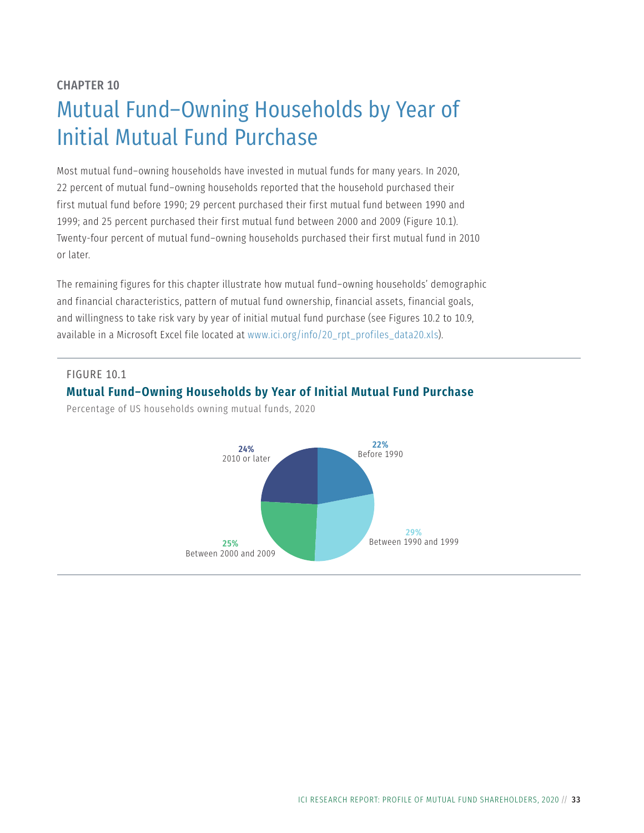## <span id="page-40-0"></span>CHAPTER 10 Mutual Fund–Owning Households by Year of Initial Mutual Fund Purchase

Most mutual fund–owning households have invested in mutual funds for many years. In 2020, 22 percent of mutual fund–owning households reported that the household purchased their first mutual fund before 1990; 29 percent purchased their first mutual fund between 1990 and 1999; and 25 percent purchased their first mutual fund between 2000 and 2009 (Figure 10.1). Twenty-four percent of mutual fund–owning households purchased their first mutual fund in 2010 or later.

The remaining figures for this chapter illustrate how mutual fund–owning households' demographic and financial characteristics, pattern of mutual fund ownership, financial assets, financial goals, and willingness to take risk vary by year of initial mutual fund purchase (see Figures 10.2 to 10.9, available in a Microsoft Excel file located at [www.ici.org/info/20\\_rpt\\_profiles\\_data20.xls\)](http://www.ici.org/info/20_rpt_profiles_data20.xls).

#### FIGURE 10.1

#### **Mutual Fund–Owning Households by Year of Initial Mutual Fund Purchase**

Percentage of US households owning mutual funds, 2020

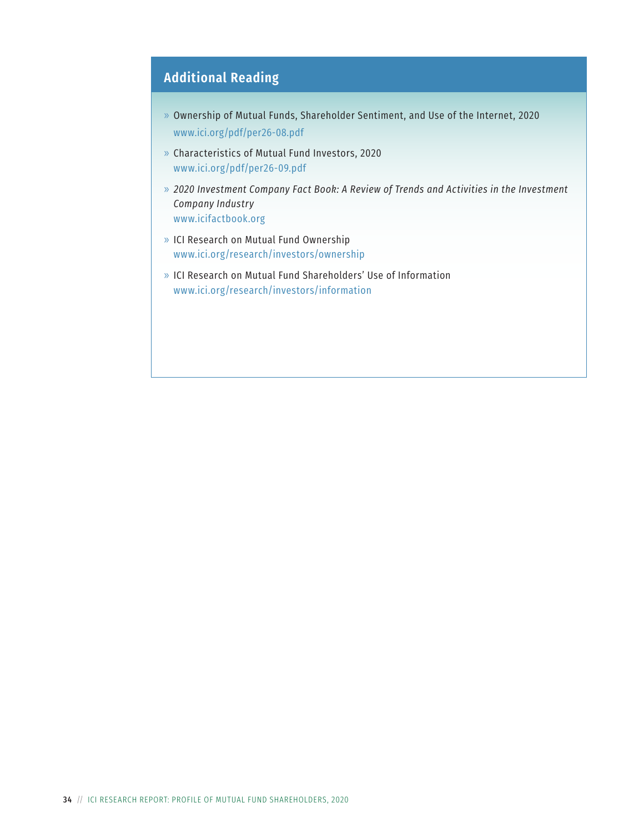## **Additional Reading**

- » Ownership of Mutual Funds, Shareholder Sentiment, and Use of the Internet, 2020 [www.ici.org/pdf/per26-08.pdf](http://www.ici.org/pdf/per26-08.pdf)
- » Characteristics of Mutual Fund Investors, 2020 [www.ici.org/pdf/per26-09.pdf](http://www.ici.org/pdf/per26-09.pdf)
- » *2020 Investment Company Fact Book: A Review of Trends and Activities in the Investment Company Industry* [www.icifactbook.org](http://www.icifactbook.org)
- » ICI Research on Mutual Fund Ownership [www.ici.org/research/investors/ownership](http://www.ici.org/research/investors/ownership)
- » ICI Research on Mutual Fund Shareholders' Use of Information [www.ici.org/research/investors/information](http://www.ici.org/research/investors/information)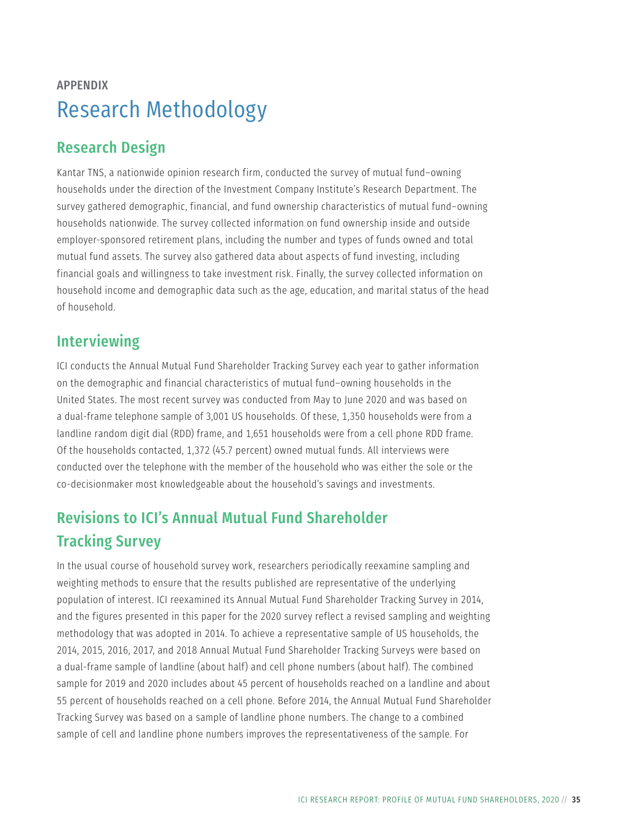## APPENDIX Research Methodology

## Research Design

Kantar TNS, a nationwide opinion research firm, conducted the survey of mutual fund–owning households under the direction of the Investment Company Institute's Research Department. The survey gathered demographic, financial, and fund ownership characteristics of mutual fund–owning households nationwide. The survey collected information on fund ownership inside and outside employer-sponsored retirement plans, including the number and types of funds owned and total mutual fund assets. The survey also gathered data about aspects of fund investing, including financial goals and willingness to take investment risk. Finally, the survey collected information on household income and demographic data such as the age, education, and marital status of the head of household.

## Interviewing

ICI conducts the Annual Mutual Fund Shareholder Tracking Survey each year to gather information on the demographic and financial characteristics of mutual fund–owning households in the United States. The most recent survey was conducted from May to June 2020 and was based on a dual-frame telephone sample of 3,001 US households. Of these, 1,350 households were from a landline random digit dial (RDD) frame, and 1,651 households were from a cell phone RDD frame. Of the households contacted, 1,372 (45.7 percent) owned mutual funds. All interviews were conducted over the telephone with the member of the household who was either the sole or the co-decisionmaker most knowledgeable about the household's savings and investments.

## Revisions to ICI's Annual Mutual Fund Shareholder Tracking Survey

In the usual course of household survey work, researchers periodically reexamine sampling and weighting methods to ensure that the results published are representative of the underlying population of interest. ICI reexamined its Annual Mutual Fund Shareholder Tracking Survey in 2014, and the figures presented in this paper for the 2020 survey reflect a revised sampling and weighting methodology that was adopted in 2014. To achieve a representative sample of US households, the 2014, 2015, 2016, 2017, and 2018 Annual Mutual Fund Shareholder Tracking Surveys were based on a dual-frame sample of landline (about half) and cell phone numbers (about half). The combined sample for 2019 and 2020 includes about 45 percent of households reached on a landline and about 55 percent of households reached on a cell phone. Before 2014, the Annual Mutual Fund Shareholder Tracking Survey was based on a sample of landline phone numbers. The change to a combined sample of cell and landline phone numbers improves the representativeness of the sample. For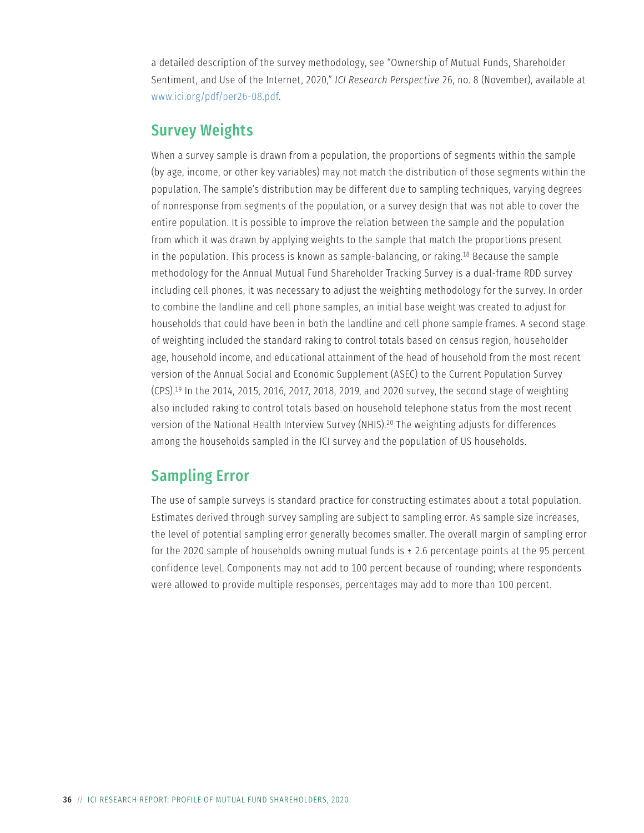a detailed description of the survey methodology, see "Ownership of Mutual Funds, Shareholder Sentiment, and Use of the Internet, 2020," *ICI Research Perspective* 26, no. 8 (November), available at [www.ici.org/pdf/per26-08.pdf](http://www.ici.org/pdf/per26-08.pdf).

### Survey Weights

When a survey sample is drawn from a population, the proportions of segments within the sample (by age, income, or other key variables) may not match the distribution of those segments within the population. The sample's distribution may be different due to sampling techniques, varying degrees of nonresponse from segments of the population, or a survey design that was not able to cover the entire population. It is possible to improve the relation between the sample and the population from which it was drawn by applying weights to the sample that match the proportions present in the population. This process is known as sample-balancing, or raking.18 Because the sample methodology for the Annual Mutual Fund Shareholder Tracking Survey is a dual-frame RDD survey including cell phones, it was necessary to adjust the weighting methodology for the survey. In order to combine the landline and cell phone samples, an initial base weight was created to adjust for households that could have been in both the landline and cell phone sample frames. A second stage of weighting included the standard raking to control totals based on census region, householder age, household income, and educational attainment of the head of household from the most recent version of the Annual Social and Economic Supplement (ASEC) to the Current Population Survey (CPS).19 In the 2014, 2015, 2016, 2017, 2018, 2019, and 2020 survey, the second stage of weighting also included raking to control totals based on household telephone status from the most recent version of the National Health Interview Survey (NHIS).20 The weighting adjusts for differences among the households sampled in the ICI survey and the population of US households.

## Sampling Error

The use of sample surveys is standard practice for constructing estimates about a total population. Estimates derived through survey sampling are subject to sampling error. As sample size increases, the level of potential sampling error generally becomes smaller. The overall margin of sampling error for the 2020 sample of households owning mutual funds is  $\pm$  2.6 percentage points at the 95 percent confidence level. Components may not add to 100 percent because of rounding; where respondents were allowed to provide multiple responses, percentages may add to more than 100 percent.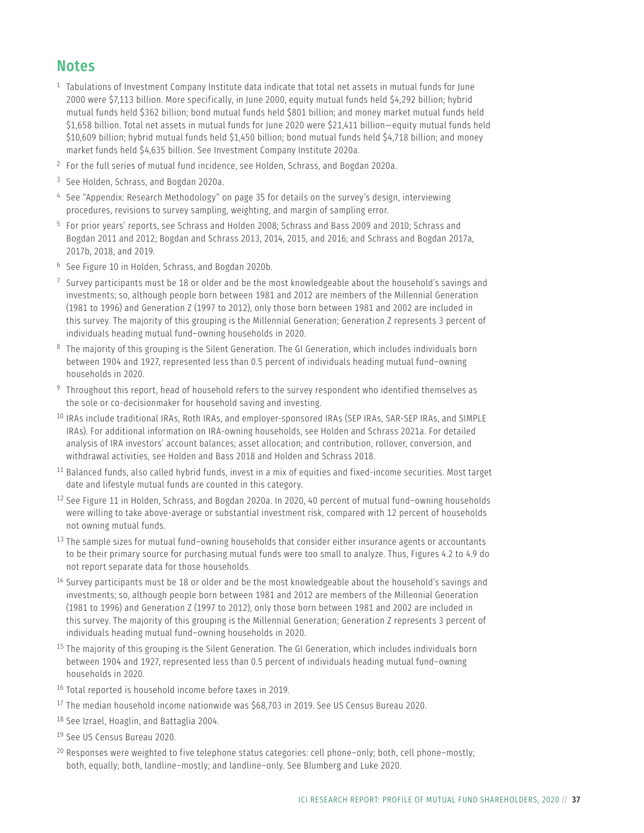### **Notes**

- <sup>1</sup> Tabulations of Investment Company Institute data indicate that total net assets in mutual funds for June 2000 were \$7,113 billion. More specifically, in June 2000, equity mutual funds held \$4,292 billion; hybrid mutual funds held \$362 billion; bond mutual funds held \$801 billion; and money market mutual funds held \$1,658 billion. Total net assets in mutual funds for June 2020 were \$21,411 billion—equity mutual funds held \$10,609 billion; hybrid mutual funds held \$1,450 billion; bond mutual funds held \$4,718 billion; and money market funds held \$4,635 billion. See Investment Company Institute 2020a.
- <sup>2</sup> For the full series of mutual fund incidence, see Holden, Schrass, and Bogdan 2020a.
- <sup>3</sup> See Holden, Schrass, and Bogdan 2020a.
- <sup>4</sup> See "Appendix: Research Methodology" on page 35 for details on the survey's design, interviewing procedures, revisions to survey sampling, weighting, and margin of sampling error.
- <sup>5</sup> For prior years' reports, see Schrass and Holden 2008; Schrass and Bass 2009 and 2010; Schrass and Bogdan 2011 and 2012; Bogdan and Schrass 2013, 2014, 2015, and 2016; and Schrass and Bogdan 2017a, 2017b, 2018, and 2019.
- <sup>6</sup> See Figure 10 in Holden, Schrass, and Bogdan 2020b.
- $7$  Survey participants must be 18 or older and be the most knowledgeable about the household's savings and investments; so, although people born between 1981 and 2012 are members of the Millennial Generation (1981 to 1996) and Generation Z (1997 to 2012), only those born between 1981 and 2002 are included in this survey. The majority of this grouping is the Millennial Generation; Generation Z represents 3 percent of individuals heading mutual fund–owning households in 2020.
- <sup>8</sup> The majority of this grouping is the Silent Generation. The GI Generation, which includes individuals born between 1904 and 1927, represented less than 0.5 percent of individuals heading mutual fund–owning households in 2020.
- <sup>9</sup> Throughout this report, head of household refers to the survey respondent who identified themselves as the sole or co-decisionmaker for household saving and investing.
- <sup>10</sup> IRAs include traditional IRAs, Roth IRAs, and employer-sponsored IRAs (SEP IRAs, SAR-SEP IRAs, and SIMPLE IRAs). For additional information on IRA-owning households, see Holden and Schrass 2021a. For detailed analysis of IRA investors' account balances; asset allocation; and contribution, rollover, conversion, and withdrawal activities, see Holden and Bass 2018 and Holden and Schrass 2018.
- <sup>11</sup> Balanced funds, also called hybrid funds, invest in a mix of equities and fixed-income securities. Most target date and lifestyle mutual funds are counted in this category.
- <sup>12</sup> See Figure 11 in Holden, Schrass, and Bogdan 2020a. In 2020, 40 percent of mutual fund-owning households were willing to take above-average or substantial investment risk, compared with 12 percent of households not owning mutual funds.
- $13$  The sample sizes for mutual fund–owning households that consider either insurance agents or accountants to be their primary source for purchasing mutual funds were too small to analyze. Thus, Figures 4.2 to 4.9 do not report separate data for those households.
- $14$  Survey participants must be 18 or older and be the most knowledgeable about the household's savings and investments; so, although people born between 1981 and 2012 are members of the Millennial Generation (1981 to 1996) and Generation Z (1997 to 2012), only those born between 1981 and 2002 are included in this survey. The majority of this grouping is the Millennial Generation; Generation Z represents 3 percent of individuals heading mutual fund–owning households in 2020.
- <sup>15</sup> The majority of this grouping is the Silent Generation. The GI Generation, which includes individuals born between 1904 and 1927, represented less than 0.5 percent of individuals heading mutual fund–owning households in 2020.
- <sup>16</sup> Total reported is household income before taxes in 2019.
- <sup>17</sup> The median household income nationwide was \$68,703 in 2019. See US Census Bureau 2020.
- 18 See Izrael, Hoaglin, and Battaglia 2004.
- <sup>19</sup> See US Census Bureau 2020.
- $20$  Responses were weighted to five telephone status categories: cell phone–only; both, cell phone–mostly; both, equally; both, landline–mostly; and landline–only. See Blumberg and Luke 2020.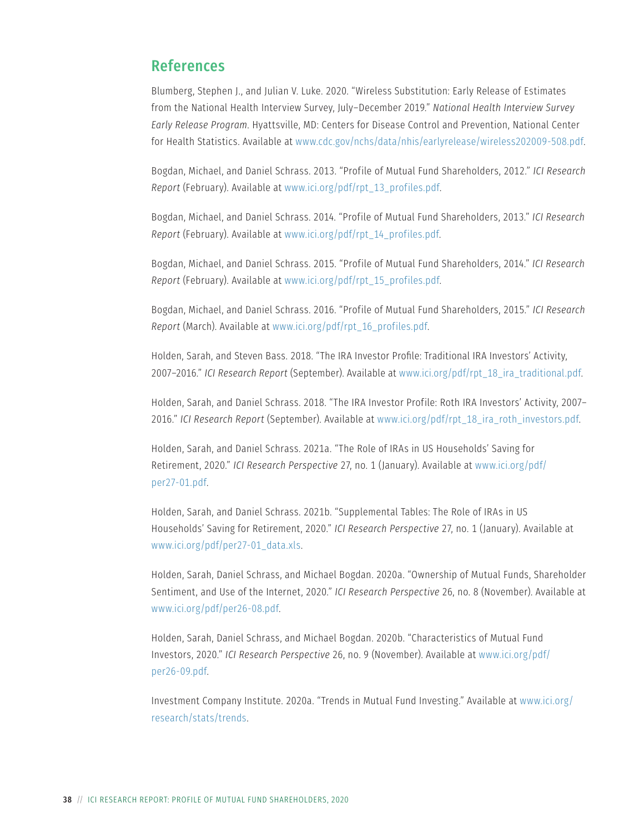### References

Blumberg, Stephen J., and Julian V. Luke. 2020. "Wireless Substitution: Early Release of Estimates from the National Health Interview Survey, July–December 2019." *National Health Interview Survey Early Release Program*. Hyattsville, MD: Centers for Disease Control and Prevention, National Center for Health Statistics. Available at [www.cdc.gov/nchs/data/nhis/earlyrelease/wireless202009-508.pdf.](http://www.cdc.gov/nchs/data/nhis/earlyrelease/wireless202009-508.pdf)

Bogdan, Michael, and Daniel Schrass. 2013. "Profile of Mutual Fund Shareholders, 2012." *ICI Research Report* (February). Available at [www.ici.org/pdf/rpt\\_13\\_profiles.pdf](http://www.ici.org/pdf/rpt_13_profiles.pdf).

Bogdan, Michael, and Daniel Schrass. 2014. "Profile of Mutual Fund Shareholders, 2013." *ICI Research Report* (February). Available at [www.ici.org/pdf/rpt\\_14\\_profiles.pdf.](http://www.ici.org/pdf/rpt_14_profiles.pdf)

Bogdan, Michael, and Daniel Schrass. 2015. "Profile of Mutual Fund Shareholders, 2014." *ICI Research Report* (February). Available at [www.ici.org/pdf/rpt\\_15\\_profiles.pdf](http://www.ici.org/pdf/rpt_15_profiles.pdf).

Bogdan, Michael, and Daniel Schrass. 2016. "Profile of Mutual Fund Shareholders, 2015." *ICI Research Report* (March). Available at [www.ici.org/pdf/rpt\\_16\\_profiles.pdf](http://www.ici.org/pdf/rpt_16_profiles.pdf).

Holden, Sarah, and Steven Bass. 2018. "The IRA Investor Profile: Traditional IRA Investors' Activity, 2007–2016." *ICI Research Report* (September). Available at [www.ici.org/pdf/rpt\\_18\\_ira\\_traditional.pdf.](http://www.ici.org/pdf/rpt_18_ira_traditional.pdf)

Holden, Sarah, and Daniel Schrass. 2018. "The IRA Investor Profile: Roth IRA Investors' Activity, 2007– 2016." *ICI Research Report* (September). Available at [www.ici.org/pdf/rpt\\_18\\_ira\\_roth\\_investors.pdf.](http://www.ici.org/pdf/rpt_18_ira_roth_investors.pdf)

Holden, Sarah, and Daniel Schrass. 2021a. "The Role of IRAs in US Households' Saving for Retirement, 2020." *ICI Research Perspective* 27, no. 1 (January). Available at [www.ici.org/pdf/](http://www.ici.org/pdf/per27-01.pdf) [per27-01.pdf](http://www.ici.org/pdf/per27-01.pdf).

Holden, Sarah, and Daniel Schrass. 2021b. "Supplemental Tables: The Role of IRAs in US Households' Saving for Retirement, 2020." *ICI Research Perspective* 27, no. 1 (January). Available at [www.ici.org/pdf/per27-01\\_data.xls](http://www.ici.org/pdf/per27-01_data.xls).

Holden, Sarah, Daniel Schrass, and Michael Bogdan. 2020a. "Ownership of Mutual Funds, Shareholder Sentiment, and Use of the Internet, 2020." *ICI Research Perspective* 26, no. 8 (November). Available at [www.ici.org/pdf/per26-08.pdf](http://www.ici.org/pdf/per26-08.pdf).

Holden, Sarah, Daniel Schrass, and Michael Bogdan. 2020b. "Characteristics of Mutual Fund Investors, 2020." *ICI Research Perspective* 26, no. 9 (November). Available at [www.ici.org/pdf/](http://www.ici.org/pdf/per26-09.pdf) [per26-09.pdf.](http://www.ici.org/pdf/per26-09.pdf)

Investment Company Institute. 2020a. "Trends in Mutual Fund Investing." Available at [www.ici.org/](http://www.ici.org/research/stats/trends) [research/stats/trends.](http://www.ici.org/research/stats/trends)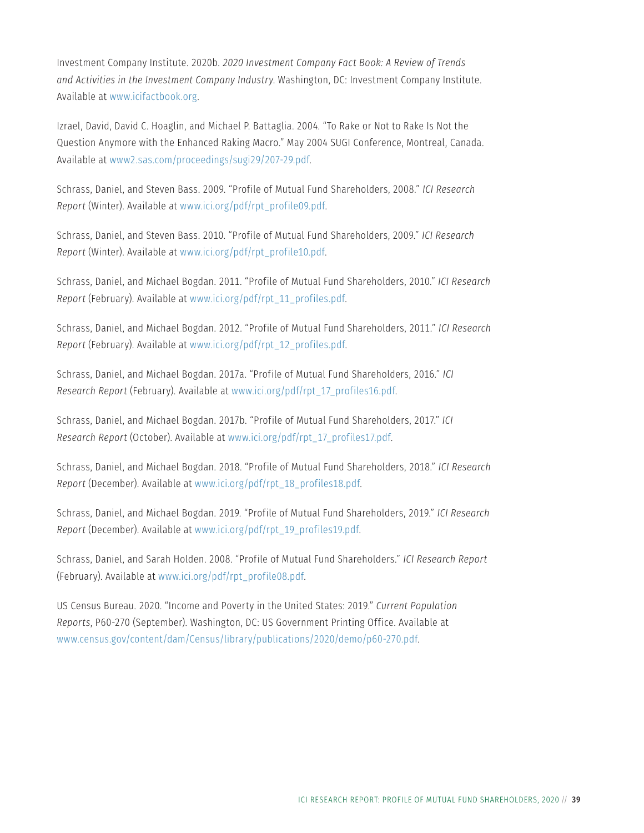Investment Company Institute. 2020b. *2020 Investment Company Fact Book: A Review of Trends and Activities in the Investment Company Industry*. Washington, DC: Investment Company Institute. Available at [www.icifactbook.org.](http://www.icifactbook.org)

Izrael, David, David C. Hoaglin, and Michael P. Battaglia. 2004. "To Rake or Not to Rake Is Not the Question Anymore with the Enhanced Raking Macro." May 2004 SUGI Conference, Montreal, Canada. Available at [www2.sas.com/proceedings/sugi29/207-29.pdf](http://www2.sas.com/proceedings/sugi29/207-29.pdf).

Schrass, Daniel, and Steven Bass. 2009. "Profile of Mutual Fund Shareholders, 2008." *ICI Research Report* (Winter). Available at [www.ici.org/pdf/rpt\\_profile09.pdf](http://www.ici.org/pdf/rpt_profile09.pdf).

Schrass, Daniel, and Steven Bass. 2010. "Profile of Mutual Fund Shareholders, 2009." *ICI Research Report* (Winter). Available at [www.ici.org/pdf/rpt\\_profile10.pdf.](http://www.ici.org/pdf/rpt_profile10.pdf)

Schrass, Daniel, and Michael Bogdan. 2011. "Profile of Mutual Fund Shareholders, 2010." *ICI Research Report* (February). Available at [www.ici.org/pdf/rpt\\_11\\_profiles.pdf](http://www.ici.org/pdf/rpt_11_profiles.pdf).

Schrass, Daniel, and Michael Bogdan. 2012. "Profile of Mutual Fund Shareholders, 2011." *ICI Research Report* (February). Available at [www.ici.org/pdf/rpt\\_12\\_profiles.pdf](http://www.ici.org/pdf/rpt_12_profiles.pdf).

Schrass, Daniel, and Michael Bogdan. 2017a. "Profile of Mutual Fund Shareholders, 2016." *ICI Research Report* (February). Available at [www.ici.org/pdf/rpt\\_17\\_profiles16.pdf.](http://www.ici.org/pdf/rpt_17_profiles16.pdf)

Schrass, Daniel, and Michael Bogdan. 2017b. "Profile of Mutual Fund Shareholders, 2017." *ICI Research Report* (October). Available at [www.ici.org/pdf/rpt\\_17\\_profiles17.pdf.](http://www.ici.org/pdf/rpt_17_profiles17.pdf)

Schrass, Daniel, and Michael Bogdan. 2018. "Profile of Mutual Fund Shareholders, 2018." *ICI Research Report* (December). Available at [www.ici.org/pdf/rpt\\_18\\_profiles18.pdf](http://www.ici.org/pdf/rpt_18_profiles18.pdf).

Schrass, Daniel, and Michael Bogdan. 2019. "Profile of Mutual Fund Shareholders, 2019." *ICI Research Report* (December). Available at [www.ici.org/pdf/rpt\\_19\\_profiles19.pdf](http://www.ici.org/pdf/rpt_19_profiles19.pdf).

Schrass, Daniel, and Sarah Holden. 2008. "Profile of Mutual Fund Shareholders." *ICI Research Report* (February). Available at [www.ici.org/pdf/rpt\\_profile08.pdf.](http://www.ici.org/pdf/rpt_profile08.pdf)

US Census Bureau. 2020. "Income and Poverty in the United States: 2019." *Current Population Reports*, P60-270 (September). Washington, DC: US Government Printing Office. Available at [www.census.gov/content/dam/Census/library/publications/2020/demo/p60-270.pdf](http://www.census.gov/content/dam/Census/library/publications/2020/demo/p60-270.pdf).